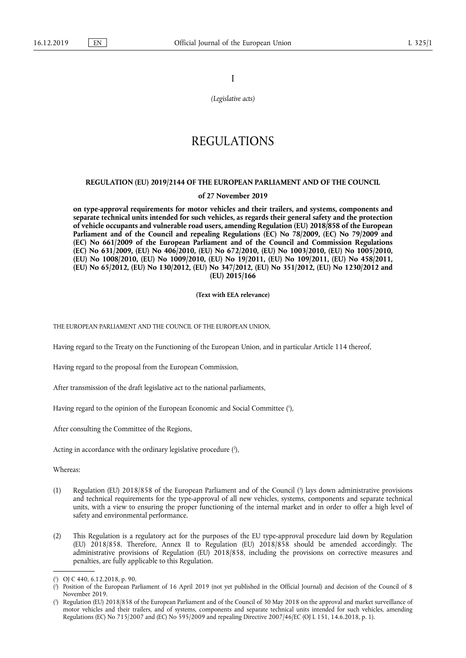I

*(Legislative acts)* 

## REGULATIONS

#### **REGULATION (EU) 2019/2144 OF THE EUROPEAN PARLIAMENT AND OF THE COUNCIL**

#### **of 27 November 2019**

**on type-approval requirements for motor vehicles and their trailers, and systems, components and separate technical units intended for such vehicles, as regards their general safety and the protection of vehicle occupants and vulnerable road users, amending Regulation (EU) 2018/858 of the European Parliament and of the Council and repealing Regulations (EC) No 78/2009, (EC) No 79/2009 and (EC) No 661/2009 of the European Parliament and of the Council and Commission Regulations (EC) No 631/2009, (EU) No 406/2010, (EU) No 672/2010, (EU) No 1003/2010, (EU) No 1005/2010, (EU) No 1008/2010, (EU) No 1009/2010, (EU) No 19/2011, (EU) No 109/2011, (EU) No 458/2011, (EU) No 65/2012, (EU) No 130/2012, (EU) No 347/2012, (EU) No 351/2012, (EU) No 1230/2012 and (EU) 2015/166** 

#### **(Text with EEA relevance)**

THE EUROPEAN PARLIAMENT AND THE COUNCIL OF THE EUROPEAN UNION,

Having regard to the Treaty on the Functioning of the European Union, and in particular Article 114 thereof,

Having regard to the proposal from the European Commission,

After transmission of the draft legislative act to the national parliaments,

Having regard to the opinion of the European Economic and Social Committee ( 1 ),

After consulting the Committee of the Regions,

Acting in accordance with the ordinary legislative procedure ( 2 ),

Whereas:

- (1) Regulation (EU) 2018/858 of the European Parliament and of the Council ( 3 ) lays down administrative provisions and technical requirements for the type-approval of all new vehicles, systems, components and separate technical units, with a view to ensuring the proper functioning of the internal market and in order to offer a high level of safety and environmental performance.
- (2) This Regulation is a regulatory act for the purposes of the EU type-approval procedure laid down by Regulation (EU) 2018/858. Therefore, Annex II to Regulation (EU) 2018/858 should be amended accordingly. The administrative provisions of Regulation (EU) 2018/858, including the provisions on corrective measures and penalties, are fully applicable to this Regulation.

<sup>(</sup> 1 ) OJ C 440, 6.12.2018, p. 90.

<sup>(</sup> 2 ) Position of the European Parliament of 16 April 2019 (not yet published in the Official Journal) and decision of the Council of 8 November 2019.

<sup>(</sup> 3 ) Regulation (EU) 2018/858 of the European Parliament and of the Council of 30 May 2018 on the approval and market surveillance of motor vehicles and their trailers, and of systems, components and separate technical units intended for such vehicles, amending Regulations (EC) No 715/2007 and (EC) No 595/2009 and repealing Directive 2007/46/EC (OJ L 151, 14.6.2018, p. 1).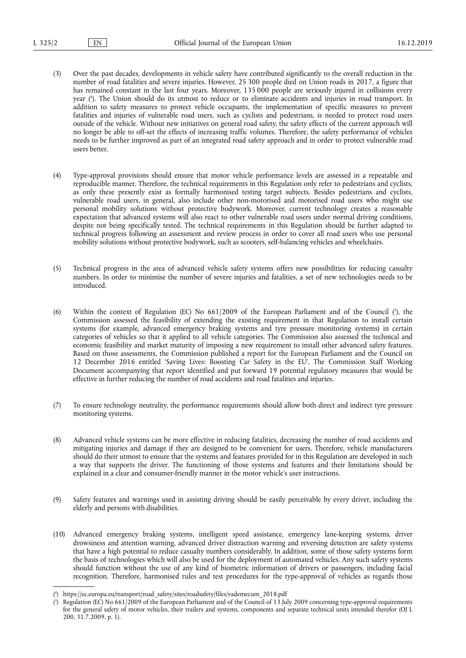- (3) Over the past decades, developments in vehicle safety have contributed significantly to the overall reduction in the number of road fatalities and severe injuries. However, 25 300 people died on Union roads in 2017, a figure that has remained constant in the last four years. Moreover, 135 000 people are seriously injured in collisions every year ( 4 ). The Union should do its utmost to reduce or to eliminate accidents and injuries in road transport. In addition to safety measures to protect vehicle occupants, the implementation of specific measures to prevent fatalities and injuries of vulnerable road users, such as cyclists and pedestrians, is needed to protect road users outside of the vehicle. Without new initiatives on general road safety, the safety effects of the current approach will no longer be able to off-set the effects of increasing traffic volumes. Therefore, the safety performance of vehicles needs to be further improved as part of an integrated road safety approach and in order to protect vulnerable road users better.
- (4) Type-approval provisions should ensure that motor vehicle performance levels are assessed in a repeatable and reproducible manner. Therefore, the technical requirements in this Regulation only refer to pedestrians and cyclists, as only these presently exist as formally harmonised testing target subjects. Besides pedestrians and cyclists, vulnerable road users, in general, also include other non-motorised and motorised road users who might use personal mobility solutions without protective bodywork. Moreover, current technology creates a reasonable expectation that advanced systems will also react to other vulnerable road users under normal driving conditions, despite not being specifically tested. The technical requirements in this Regulation should be further adapted to technical progress following an assessment and review process in order to cover all road users who use personal mobility solutions without protective bodywork, such as scooters, self-balancing vehicles and wheelchairs.
- (5) Technical progress in the area of advanced vehicle safety systems offers new possibilities for reducing casualty numbers. In order to minimise the number of severe injuries and fatalities, a set of new technologies needs to be introduced.
- (6) Within the context of Regulation (EC) No  $661/2009$  of the European Parliament and of the Council  $\binom{5}{1}$ , the Commission assessed the feasibility of extending the existing requirement in that Regulation to install certain systems (for example, advanced emergency braking systems and tyre pressure monitoring systems) in certain categories of vehicles so that it applied to all vehicle categories. The Commission also assessed the technical and economic feasibility and market maturity of imposing a new requirement to install other advanced safety features. Based on those assessments, the Commission published a report for the European Parliament and the Council on 12 December 2016 entitled 'Saving Lives: Boosting Car Safety in the EU'. The Commission Staff Working Document accompanying that report identified and put forward 19 potential regulatory measures that would be effective in further reducing the number of road accidents and road fatalities and injuries.
- (7) To ensure technology neutrality, the performance requirements should allow both direct and indirect tyre pressure monitoring systems.
- (8) Advanced vehicle systems can be more effective in reducing fatalities, decreasing the number of road accidents and mitigating injuries and damage if they are designed to be convenient for users. Therefore, vehicle manufacturers should do their utmost to ensure that the systems and features provided for in this Regulation are developed in such a way that supports the driver. The functioning of those systems and features and their limitations should be explained in a clear and consumer-friendly manner in the motor vehicle's user instructions.
- (9) Safety features and warnings used in assisting driving should be easily perceivable by every driver, including the elderly and persons with disabilities.
- (10) Advanced emergency braking systems, intelligent speed assistance, emergency lane‐keeping systems, driver drowsiness and attention warning, advanced driver distraction warning and reversing detection are safety systems that have a high potential to reduce casualty numbers considerably. In addition, some of those safety systems form the basis of technologies which will also be used for the deployment of automated vehicles. Any such safety systems should function without the use of any kind of biometric information of drivers or passengers, including facial recognition. Therefore, harmonised rules and test procedures for the type-approval of vehicles as regards those

<sup>(</sup> 4 ) https://ec.europa.eu/transport/road\_safety/sites/roadsafety/files/vademecum\_2018.pdf

<sup>(</sup> 5 Regulation (EC) No 661/2009 of the European Parliament and of the Council of 13 July 2009 concerning type-approval requirements for the general safety of motor vehicles, their trailers and systems, components and separate technical units intended therefor (OJ L 200, 31.7.2009, p. 1).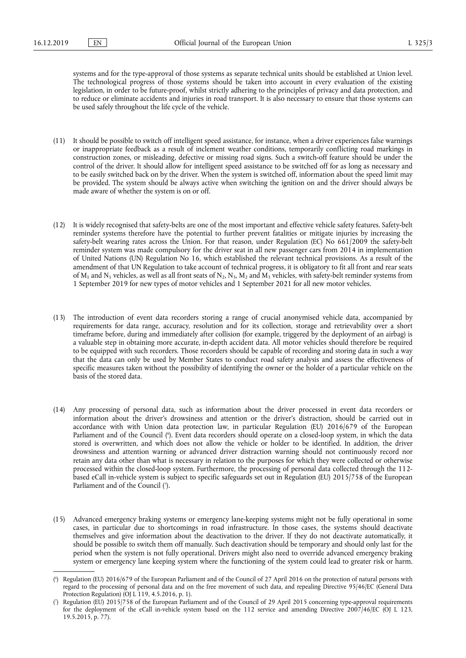systems and for the type‐approval of those systems as separate technical units should be established at Union level. The technological progress of those systems should be taken into account in every evaluation of the existing legislation, in order to be future‐proof, whilst strictly adhering to the principles of privacy and data protection, and to reduce or eliminate accidents and injuries in road transport. It is also necessary to ensure that those systems can be used safely throughout the life cycle of the vehicle.

- (11) It should be possible to switch off intelligent speed assistance, for instance, when a driver experiences false warnings or inappropriate feedback as a result of inclement weather conditions, temporarily conflicting road markings in construction zones, or misleading, defective or missing road signs. Such a switch-off feature should be under the control of the driver. It should allow for intelligent speed assistance to be switched off for as long as necessary and to be easily switched back on by the driver. When the system is switched off, information about the speed limit may be provided. The system should be always active when switching the ignition on and the driver should always be made aware of whether the system is on or off.
- (12) It is widely recognised that safety-belts are one of the most important and effective vehicle safety features. Safety-belt reminder systems therefore have the potential to further prevent fatalities or mitigate injuries by increasing the safety-belt wearing rates across the Union. For that reason, under Regulation (EC) No 661/2009 the safety-belt reminder system was made compulsory for the driver seat in all new passenger cars from 2014 in implementation of United Nations (UN) Regulation No 16, which established the relevant technical provisions. As a result of the amendment of that UN Regulation to take account of technical progress, it is obligatory to fit all front and rear seats of  $M_1$  and  $N_1$  vehicles, as well as all front seats of  $N_2$ ,  $N_3$ ,  $M_2$  and  $M_3$  vehicles, with safety-belt reminder systems from 1 September 2019 for new types of motor vehicles and 1 September 2021 for all new motor vehicles.
- (13) The introduction of event data recorders storing a range of crucial anonymised vehicle data, accompanied by requirements for data range, accuracy, resolution and for its collection, storage and retrievability over a short timeframe before, during and immediately after collision (for example, triggered by the deployment of an airbag) is a valuable step in obtaining more accurate, in-depth accident data. All motor vehicles should therefore be required to be equipped with such recorders. Those recorders should be capable of recording and storing data in such a way that the data can only be used by Member States to conduct road safety analysis and assess the effectiveness of specific measures taken without the possibility of identifying the owner or the holder of a particular vehicle on the basis of the stored data.
- (14) Any processing of personal data, such as information about the driver processed in event data recorders or information about the driver's drowsiness and attention or the driver's distraction, should be carried out in accordance with with Union data protection law, in particular Regulation (EU) 2016/679 of the European Parliament and of the Council ( 6 ). Event data recorders should operate on a closed-loop system, in which the data stored is overwritten, and which does not allow the vehicle or holder to be identified. In addition, the driver drowsiness and attention warning or advanced driver distraction warning should not continuously record nor retain any data other than what is necessary in relation to the purposes for which they were collected or otherwise processed within the closed-loop system. Furthermore, the processing of personal data collected through the 112 based eCall in-vehicle system is subject to specific safeguards set out in Regulation (EU) 2015/758 of the European Parliament and of the Council (7).
- (15) Advanced emergency braking systems or emergency lane-keeping systems might not be fully operational in some cases, in particular due to shortcomings in road infrastructure. In those cases, the systems should deactivate themselves and give information about the deactivation to the driver. If they do not deactivate automatically, it should be possible to switch them off manually. Such deactivation should be temporary and should only last for the period when the system is not fully operational. Drivers might also need to override advanced emergency braking system or emergency lane keeping system where the functioning of the system could lead to greater risk or harm.

<sup>(</sup> 6 ) Regulation (EU) 2016/679 of the European Parliament and of the Council of 27 April 2016 on the protection of natural persons with regard to the processing of personal data and on the free movement of such data, and repealing Directive 95/46/EC (General Data Protection Regulation) (OJ L  $119$ , 4.5.2016, p. 1).

<sup>(</sup> 7 ) Regulation (EU) 2015/758 of the European Parliament and of the Council of 29 April 2015 concerning type-approval requirements for the deployment of the eCall in-vehicle system based on the 112 service and amending Directive 2007/46/EC (OJ L 123, 19.5.2015, p. 77).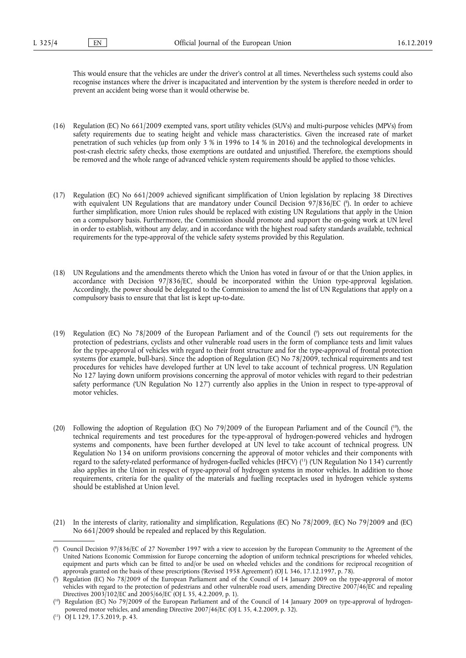This would ensure that the vehicles are under the driver's control at all times. Nevertheless such systems could also recognise instances where the driver is incapacitated and intervention by the system is therefore needed in order to prevent an accident being worse than it would otherwise be.

- (16) Regulation (EC) No 661/2009 exempted vans, sport utility vehicles (SUVs) and multi‐purpose vehicles (MPVs) from safety requirements due to seating height and vehicle mass characteristics. Given the increased rate of market penetration of such vehicles (up from only 3 % in 1996 to 14 % in 2016) and the technological developments in post-crash electric safety checks, those exemptions are outdated and unjustified. Therefore, the exemptions should be removed and the whole range of advanced vehicle system requirements should be applied to those vehicles.
- (17) Regulation (EC) No 661/2009 achieved significant simplification of Union legislation by replacing 38 Directives with equivalent UN Regulations that are mandatory under Council Decision 97/836/EC ( 8 ). In order to achieve further simplification, more Union rules should be replaced with existing UN Regulations that apply in the Union on a compulsory basis. Furthermore, the Commission should promote and support the on-going work at UN level in order to establish, without any delay, and in accordance with the highest road safety standards available, technical requirements for the type-approval of the vehicle safety systems provided by this Regulation.
- (18) UN Regulations and the amendments thereto which the Union has voted in favour of or that the Union applies, in accordance with Decision 97/836/EC, should be incorporated within the Union type-approval legislation. Accordingly, the power should be delegated to the Commission to amend the list of UN Regulations that apply on a compulsory basis to ensure that that list is kept up-to-date.
- (19) Regulation (EC) No 78/2009 of the European Parliament and of the Council ( 9 ) sets out requirements for the protection of pedestrians, cyclists and other vulnerable road users in the form of compliance tests and limit values for the type-approval of vehicles with regard to their front structure and for the type-approval of frontal protection systems (for example, bull-bars). Since the adoption of Regulation (EC) No 78/2009, technical requirements and test procedures for vehicles have developed further at UN level to take account of technical progress. UN Regulation No 127 laying down uniform provisions concerning the approval of motor vehicles with regard to their pedestrian safety performance ('UN Regulation No 127') currently also applies in the Union in respect to type-approval of motor vehicles.
- (20) Following the adoption of Regulation (EC) No  $79/2009$  of the European Parliament and of the Council ( $^{10}$ ), the technical requirements and test procedures for the type-approval of hydrogen-powered vehicles and hydrogen systems and components, have been further developed at UN level to take account of technical progress. UN Regulation No 134 on uniform provisions concerning the approval of motor vehicles and their components with regard to the safety-related performance of hydrogen-fuelled vehicles (HFCV) ( 11) ('UN Regulation No 134') currently also applies in the Union in respect of type-approval of hydrogen systems in motor vehicles. In addition to those requirements, criteria for the quality of the materials and fuelling receptacles used in hydrogen vehicle systems should be established at Union level.
- (21) In the interests of clarity, rationality and simplification, Regulations (EC) No 78/2009, (EC) No 79/2009 and (EC) No 661/2009 should be repealed and replaced by this Regulation.

<sup>(</sup> 8 ) Council Decision 97/836/EC of 27 November 1997 with a view to accession by the European Community to the Agreement of the United Nations Economic Commission for Europe concerning the adoption of uniform technical prescriptions for wheeled vehicles, equipment and parts which can be fitted to and/or be used on wheeled vehicles and the conditions for reciprocal recognition of approvals granted on the basis of these prescriptions ('Revised 1958 Agreement') (OJ L 346, 17.12.1997, p. 78).

<sup>(</sup> 9 ) Regulation (EC) No 78/2009 of the European Parliament and of the Council of 14 January 2009 on the type-approval of motor vehicles with regard to the protection of pedestrians and other vulnerable road users, amending Directive 2007/46/EC and repealing Directives 2003/102/EC and 2005/66/EC (OJ L 35, 4.2.2009, p. 1).

<sup>(</sup> 10) Regulation (EC) No 79/2009 of the European Parliament and of the Council of 14 January 2009 on type-approval of hydrogenpowered motor vehicles, and amending Directive 2007/46/EC (OJ L 35, 4.2.2009, p. 32).

<sup>(</sup> 11) OJ L 129, 17.5.2019, p. 43.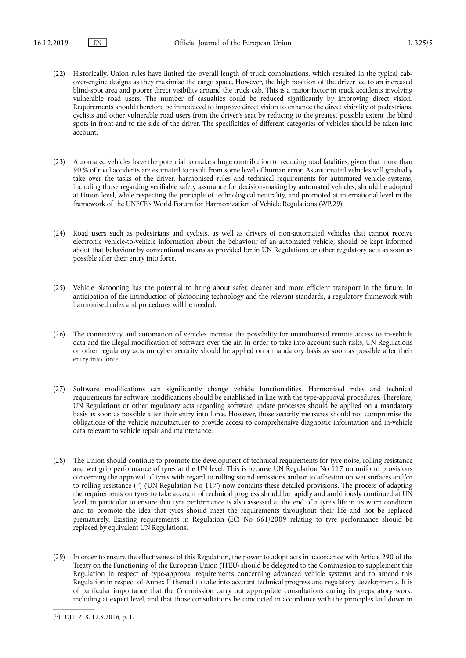- (22) Historically, Union rules have limited the overall length of truck combinations, which resulted in the typical cabover-engine designs as they maximise the cargo space. However, the high position of the driver led to an increased blind-spot area and poorer direct visibility around the truck cab. This is a major factor in truck accidents involving vulnerable road users. The number of casualties could be reduced significantly by improving direct vision. Requirements should therefore be introduced to improve direct vision to enhance the direct visibility of pedestrians, cyclists and other vulnerable road users from the driver's seat by reducing to the greatest possible extent the blind spots in front and to the side of the driver. The specificities of different categories of vehicles should be taken into account.
- (23) Automated vehicles have the potential to make a huge contribution to reducing road fatalities, given that more than 90 % of road accidents are estimated to result from some level of human error. As automated vehicles will gradually take over the tasks of the driver, harmonised rules and technical requirements for automated vehicle systems, including those regarding verifiable safety assurance for decision-making by automated vehicles, should be adopted at Union level, while respecting the principle of technological neutrality, and promoted at international level in the framework of the UNECE's World Forum for Harmonization of Vehicle Regulations (WP.29).
- (24) Road users such as pedestrians and cyclists, as well as drivers of non-automated vehicles that cannot receive electronic vehicle-to-vehicle information about the behaviour of an automated vehicle, should be kept informed about that behaviour by conventional means as provided for in UN Regulations or other regulatory acts as soon as possible after their entry into force.
- (25) Vehicle platooning has the potential to bring about safer, cleaner and more efficient transport in the future. In anticipation of the introduction of platooning technology and the relevant standards, a regulatory framework with harmonised rules and procedures will be needed.
- (26) The connectivity and automation of vehicles increase the possibility for unauthorised remote access to in-vehicle data and the illegal modification of software over the air. In order to take into account such risks, UN Regulations or other regulatory acts on cyber security should be applied on a mandatory basis as soon as possible after their entry into force.
- (27) Software modifications can significantly change vehicle functionalities. Harmonised rules and technical requirements for software modifications should be established in line with the type-approval procedures. Therefore, UN Regulations or other regulatory acts regarding software update processes should be applied on a mandatory basis as soon as possible after their entry into force. However, those security measures should not compromise the obligations of the vehicle manufacturer to provide access to comprehensive diagnostic information and in-vehicle data relevant to vehicle repair and maintenance.
- (28) The Union should continue to promote the development of technical requirements for tyre noise, rolling resistance and wet grip performance of tyres at the UN level. This is because UN Regulation No 117 on uniform provisions concerning the approval of tyres with regard to rolling sound emissions and/or to adhesion on wet surfaces and/or to rolling resistance ( 12) ('UN Regulation No 117') now contains these detailed provisions. The process of adapting the requirements on tyres to take account of technical progress should be rapidly and ambitiously continued at UN level, in particular to ensure that tyre performance is also assessed at the end of a tyre's life in its worn condition and to promote the idea that tyres should meet the requirements throughout their life and not be replaced prematurely. Existing requirements in Regulation (EC) No 661/2009 relating to tyre performance should be replaced by equivalent UN Regulations.
- (29) In order to ensure the effectiveness of this Regulation, the power to adopt acts in accordance with Article 290 of the Treaty on the Functioning of the European Union (TFEU) should be delegated to the Commission to supplement this Regulation in respect of type-approval requirements concerning advanced vehicle systems and to amend this Regulation in respect of Annex II thereof to take into account technical progress and regulatory developments. It is of particular importance that the Commission carry out appropriate consultations during its preparatory work, including at expert level, and that those consultations be conducted in accordance with the principles laid down in

<sup>(</sup> 12) OJ L 218, 12.8.2016, p. 1.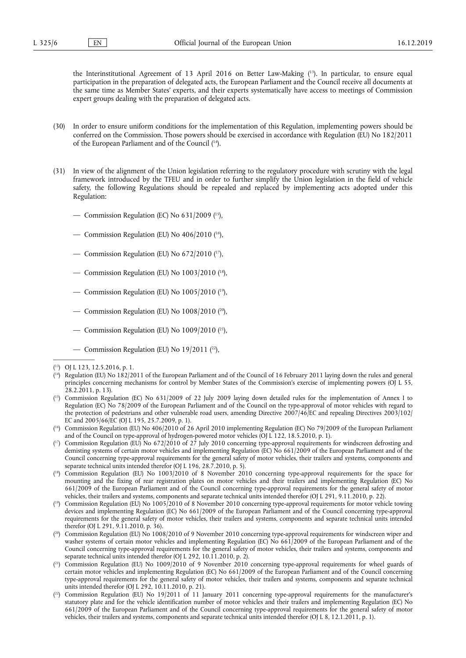the Interinstitutional Agreement of 13 April 2016 on Better Law-Making ( 13). In particular, to ensure equal participation in the preparation of delegated acts, the European Parliament and the Council receive all documents at the same time as Member States' experts, and their experts systematically have access to meetings of Commission expert groups dealing with the preparation of delegated acts.

- (30) In order to ensure uniform conditions for the implementation of this Regulation, implementing powers should be conferred on the Commission. Those powers should be exercised in accordance with Regulation (EU) No 182/2011 of the European Parliament and of the Council ( 14).
- (31) In view of the alignment of the Union legislation referring to the regulatory procedure with scrutiny with the legal framework introduced by the TFEU and in order to further simplify the Union legislation in the field of vehicle safety, the following Regulations should be repealed and replaced by implementing acts adopted under this Regulation:
	- Commission Regulation (EC) No  $631/2009$  (<sup>15</sup>),
	- Commission Regulation (EU) No  $406/2010$  (<sup>16</sup>),
	- Commission Regulation (EU) No  $672/2010$  (<sup>17</sup>),
	- Commission Regulation (EU) No 1003/2010 ( 18),
	- Commission Regulation (EU) No 1005/2010 ( 19),
	- Commission Regulation (EU) No  $1008/2010$  (<sup>20</sup>),
	- Commission Regulation (EU) No 1009/2010 ( 21),
	- Commission Regulation (EU) No  $19/2011$  (<sup>22</sup>),

<sup>(</sup> 13) OJ L 123, 12.5.2016, p. 1.

<sup>(</sup> 14) Regulation (EU) No 182/2011 of the European Parliament and of the Council of 16 February 2011 laying down the rules and general principles concerning mechanisms for control by Member States of the Commission's exercise of implementing powers (OJ L 55, 28.2.2011, p. 13).

<sup>(</sup> 15) Commission Regulation (EC) No 631/2009 of 22 July 2009 laying down detailed rules for the implementation of Annex I to Regulation (EC) No 78/2009 of the European Parliament and of the Council on the type-approval of motor vehicles with regard to the protection of pedestrians and other vulnerable road users, amending Directive 2007/46/EC and repealing Directives 2003/102/ EC and 2005/66/EC (OJ L 195, 25.7.2009, p. 1).

<sup>(</sup> 16) Commission Regulation (EU) No 406/2010 of 26 April 2010 implementing Regulation (EC) No 79/2009 of the European Parliament and of the Council on type-approval of hydrogen-powered motor vehicles (OJ L 122, 18.5.2010, p. 1).

<sup>(</sup> 17) Commission Regulation (EU) No 672/2010 of 27 July 2010 concerning type-approval requirements for windscreen defrosting and demisting systems of certain motor vehicles and implementing Regulation (EC) No 661/2009 of the European Parliament and of the Council concerning type-approval requirements for the general safety of motor vehicles, their trailers and systems, components and separate technical units intended therefor (OJ L 196, 28.7.2010, p. 5).

<sup>(</sup> 18) Commission Regulation (EU) No 1003/2010 of 8 November 2010 concerning type-approval requirements for the space for mounting and the fixing of rear registration plates on motor vehicles and their trailers and implementing Regulation (EC) No 661/2009 of the European Parliament and of the Council concerning type-approval requirements for the general safety of motor vehicles, their trailers and systems, components and separate technical units intended therefor (OJ L 291, 9.11.2010, p. 22).

<sup>(</sup> 19) Commission Regulation (EU) No 1005/2010 of 8 November 2010 concerning type-approval requirements for motor vehicle towing devices and implementing Regulation (EC) No 661/2009 of the European Parliament and of the Council concerning type-approval requirements for the general safety of motor vehicles, their trailers and systems, components and separate technical units intended therefor (OJ L 291, 9.11.2010, p. 36).

<sup>(</sup> 20) Commission Regulation (EU) No 1008/2010 of 9 November 2010 concerning type-approval requirements for windscreen wiper and washer systems of certain motor vehicles and implementing Regulation (EC) No 661/2009 of the European Parliament and of the Council concerning type-approval requirements for the general safety of motor vehicles, their trailers and systems, components and separate technical units intended therefor (OJ L 292, 10.11.2010, p. 2).

<sup>(</sup> 21) Commission Regulation (EU) No 1009/2010 of 9 November 2010 concerning type-approval requirements for wheel guards of certain motor vehicles and implementing Regulation (EC) No 661/2009 of the European Parliament and of the Council concerning type-approval requirements for the general safety of motor vehicles, their trailers and systems, components and separate technical units intended therefor (OJ L 292, 10.11.2010, p. 21).

 $(2^2)$  Commission Regulation (EU) No 19/2011 of 11 January 2011 concerning type-approval requirements for the manufacturer's statutory plate and for the vehicle identification number of motor vehicles and their trailers and implementing Regulation (EC) No 661/2009 of the European Parliament and of the Council concerning type-approval requirements for the general safety of motor vehicles, their trailers and systems, components and separate technical units intended therefor (OJ L 8, 12.1.2011, p. 1).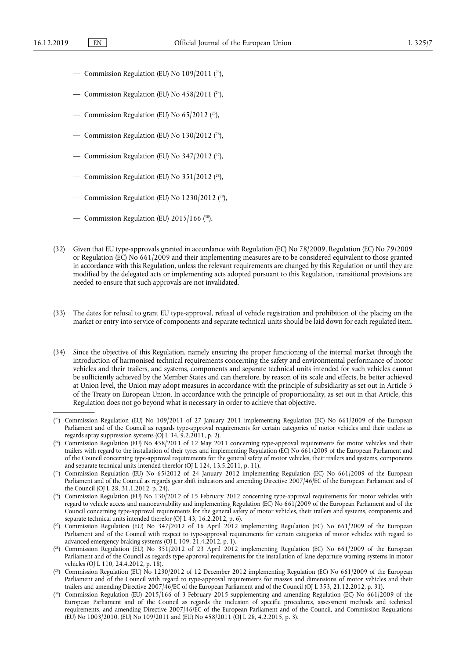- Commission Regulation (EU) No  $109/2011$   $(2^3)$ ,
- Commission Regulation (EU) No  $458/2011$  (<sup>24</sup>),
- Commission Regulation (EU) No  $65/2012$  (<sup>25</sup>),
- Commission Regulation (EU) No  $130/2012$  (<sup>26</sup>),
- Commission Regulation (EU) No  $347/2012$  (<sup>27</sup>),
- Commission Regulation (EU) No 351/2012 ( 28),
- Commission Regulation (EU) No  $1230/2012$  ( $29$ ),
- Commission Regulation (EU)  $2015/166$  (<sup>30</sup>).
- (32) Given that EU type-approvals granted in accordance with Regulation (EC) No 78/2009, Regulation (EC) No 79/2009 or Regulation (EC) No 661/2009 and their implementing measures are to be considered equivalent to those granted in accordance with this Regulation, unless the relevant requirements are changed by this Regulation or until they are modified by the delegated acts or implementing acts adopted pursuant to this Regulation, transitional provisions are needed to ensure that such approvals are not invalidated.
- (33) The dates for refusal to grant EU type-approval, refusal of vehicle registration and prohibition of the placing on the market or entry into service of components and separate technical units should be laid down for each regulated item.
- (34) Since the objective of this Regulation, namely ensuring the proper functioning of the internal market through the introduction of harmonised technical requirements concerning the safety and environmental performance of motor vehicles and their trailers, and systems, components and separate technical units intended for such vehicles cannot be sufficiently achieved by the Member States and can therefore, by reason of its scale and effects, be better achieved at Union level, the Union may adopt measures in accordance with the principle of subsidiarity as set out in Article 5 of the Treaty on European Union. In accordance with the principle of proportionality, as set out in that Article, this Regulation does not go beyond what is necessary in order to achieve that objective.

<sup>(</sup> 23) Commission Regulation (EU) No 109/2011 of 27 January 2011 implementing Regulation (EC) No 661/2009 of the European Parliament and of the Council as regards type-approval requirements for certain categories of motor vehicles and their trailers as regards spray suppression systems (OJ L 34, 9.2.2011, p. 2).

<sup>(</sup> 24) Commission Regulation (EU) No 458/2011 of 12 May 2011 concerning type-approval requirements for motor vehicles and their trailers with regard to the installation of their tyres and implementing Regulation (EC) No 661/2009 of the European Parliament and of the Council concerning type-approval requirements for the general safety of motor vehicles, their trailers and systems, components and separate technical units intended therefor (OJ L 124, 13.5.2011, p. 11).

<sup>(</sup> 25) Commission Regulation (EU) No 65/2012 of 24 January 2012 implementing Regulation (EC) No 661/2009 of the European Parliament and of the Council as regards gear shift indicators and amending Directive 2007/46/EC of the European Parliament and of the Council (OJ L 28, 31.1.2012, p. 24).

<sup>(</sup> 26) Commission Regulation (EU) No 130/2012 of 15 February 2012 concerning type-approval requirements for motor vehicles with regard to vehicle access and manoeuvrability and implementing Regulation (EC) No 661/2009 of the European Parliament and of the Council concerning type-approval requirements for the general safety of motor vehicles, their trailers and systems, components and separate technical units intended therefor (OJ L 43, 16.2.2012, p. 6).

<sup>(</sup> 27) Commission Regulation (EU) No 347/2012 of 16 April 2012 implementing Regulation (EC) No 661/2009 of the European Parliament and of the Council with respect to type‐approval requirements for certain categories of motor vehicles with regard to advanced emergency braking systems (OJ L 109, 21.4.2012, p. 1).

<sup>(</sup> 28) Commission Regulation (EU) No 351/2012 of 23 April 2012 implementing Regulation (EC) No 661/2009 of the European Parliament and of the Council as regards type-approval requirements for the installation of lane departure warning systems in motor vehicles (OJ L 110, 24.4.2012, p. 18).

<sup>(</sup> 29) Commission Regulation (EU) No 1230/2012 of 12 December 2012 implementing Regulation (EC) No 661/2009 of the European Parliament and of the Council with regard to type-approval requirements for masses and dimensions of motor vehicles and their trailers and amending Directive 2007/46/EC of the European Parliament and of the Council (OJ L 353, 21.12.2012, p. 31).

<sup>&</sup>lt;sup>30</sup>) Commission Regulation (EU) 2015/166 of 3 February 2015 supplementing and amending Regulation (EC) No 661/2009 of the European Parliament and of the Council as regards the inclusion of specific procedures, assessment methods and technical requirements, and amending Directive 2007/46/EC of the European Parliament and of the Council, and Commission Regulations (EU) No 1003/2010, (EU) No 109/2011 and (EU) No 458/2011 (OJ L 28, 4.2.2015, p. 3).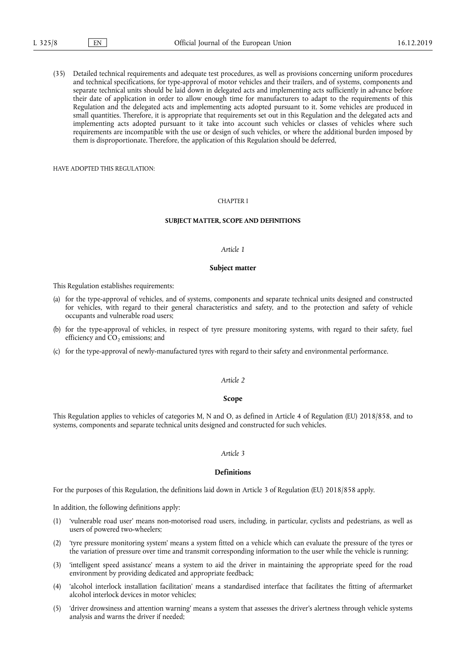(35) Detailed technical requirements and adequate test procedures, as well as provisions concerning uniform procedures and technical specifications, for type-approval of motor vehicles and their trailers, and of systems, components and separate technical units should be laid down in delegated acts and implementing acts sufficiently in advance before their date of application in order to allow enough time for manufacturers to adapt to the requirements of this Regulation and the delegated acts and implementing acts adopted pursuant to it. Some vehicles are produced in small quantities. Therefore, it is appropriate that requirements set out in this Regulation and the delegated acts and implementing acts adopted pursuant to it take into account such vehicles or classes of vehicles where such requirements are incompatible with the use or design of such vehicles, or where the additional burden imposed by them is disproportionate. Therefore, the application of this Regulation should be deferred,

HAVE ADOPTED THIS REGULATION:

#### CHAPTER I

#### **SUBJECT MATTER, SCOPE AND DEFINITIONS**

#### *Article 1*

#### **Subject matter**

This Regulation establishes requirements:

- (a) for the type-approval of vehicles, and of systems, components and separate technical units designed and constructed for vehicles, with regard to their general characteristics and safety, and to the protection and safety of vehicle occupants and vulnerable road users;
- (b) for the type-approval of vehicles, in respect of tyre pressure monitoring systems, with regard to their safety, fuel efficiency and  $CO<sub>2</sub>$  emissions; and
- (c) for the type-approval of newly-manufactured tyres with regard to their safety and environmental performance.

#### *Article 2*

#### **Scope**

This Regulation applies to vehicles of categories M, N and O, as defined in Article 4 of Regulation (EU) 2018/858, and to systems, components and separate technical units designed and constructed for such vehicles.

#### *Article 3*

#### **Definitions**

For the purposes of this Regulation, the definitions laid down in Article 3 of Regulation (EU) 2018/858 apply.

In addition, the following definitions apply:

- (1) 'vulnerable road user' means non-motorised road users, including, in particular, cyclists and pedestrians, as well as users of powered two-wheelers;
- (2) 'tyre pressure monitoring system' means a system fitted on a vehicle which can evaluate the pressure of the tyres or the variation of pressure over time and transmit corresponding information to the user while the vehicle is running;
- (3) 'intelligent speed assistance' means a system to aid the driver in maintaining the appropriate speed for the road environment by providing dedicated and appropriate feedback;
- (4) 'alcohol interlock installation facilitation' means a standardised interface that facilitates the fitting of aftermarket alcohol interlock devices in motor vehicles;
- (5) 'driver drowsiness and attention warning' means a system that assesses the driver's alertness through vehicle systems analysis and warns the driver if needed;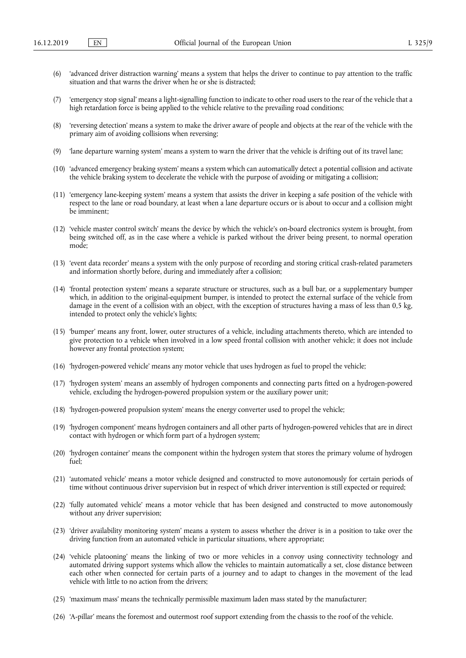- (6) 'advanced driver distraction warning' means a system that helps the driver to continue to pay attention to the traffic situation and that warns the driver when he or she is distracted;
- (7) 'emergency stop signal' means a light-signalling function to indicate to other road users to the rear of the vehicle that a high retardation force is being applied to the vehicle relative to the prevailing road conditions;
- (8) 'reversing detection' means a system to make the driver aware of people and objects at the rear of the vehicle with the primary aim of avoiding collisions when reversing;
- (9) 'lane departure warning system' means a system to warn the driver that the vehicle is drifting out of its travel lane;
- (10) 'advanced emergency braking system' means a system which can automatically detect a potential collision and activate the vehicle braking system to decelerate the vehicle with the purpose of avoiding or mitigating a collision;
- (11) 'emergency lane-keeping system' means a system that assists the driver in keeping a safe position of the vehicle with respect to the lane or road boundary, at least when a lane departure occurs or is about to occur and a collision might be imminent;
- (12) 'vehicle master control switch' means the device by which the vehicle's on-board electronics system is brought, from being switched off, as in the case where a vehicle is parked without the driver being present, to normal operation mode;
- (13) 'event data recorder' means a system with the only purpose of recording and storing critical crash-related parameters and information shortly before, during and immediately after a collision;
- (14) 'frontal protection system' means a separate structure or structures, such as a bull bar, or a supplementary bumper which, in addition to the original-equipment bumper, is intended to protect the external surface of the vehicle from damage in the event of a collision with an object, with the exception of structures having a mass of less than 0,5 kg, intended to protect only the vehicle's lights;
- (15) 'bumper' means any front, lower, outer structures of a vehicle, including attachments thereto, which are intended to give protection to a vehicle when involved in a low speed frontal collision with another vehicle; it does not include however any frontal protection system;
- (16) 'hydrogen-powered vehicle' means any motor vehicle that uses hydrogen as fuel to propel the vehicle;
- (17) 'hydrogen system' means an assembly of hydrogen components and connecting parts fitted on a hydrogen-powered vehicle, excluding the hydrogen-powered propulsion system or the auxiliary power unit;
- (18) 'hydrogen-powered propulsion system' means the energy converter used to propel the vehicle;
- (19) 'hydrogen component' means hydrogen containers and all other parts of hydrogen‐powered vehicles that are in direct contact with hydrogen or which form part of a hydrogen system;
- (20) 'hydrogen container' means the component within the hydrogen system that stores the primary volume of hydrogen fuel;
- (21) 'automated vehicle' means a motor vehicle designed and constructed to move autonomously for certain periods of time without continuous driver supervision but in respect of which driver intervention is still expected or required;
- (22) 'fully automated vehicle' means a motor vehicle that has been designed and constructed to move autonomously without any driver supervision;
- (23) 'driver availability monitoring system' means a system to assess whether the driver is in a position to take over the driving function from an automated vehicle in particular situations, where appropriate;
- (24) 'vehicle platooning' means the linking of two or more vehicles in a convoy using connectivity technology and automated driving support systems which allow the vehicles to maintain automatically a set, close distance between each other when connected for certain parts of a journey and to adapt to changes in the movement of the lead vehicle with little to no action from the drivers;
- (25) 'maximum mass' means the technically permissible maximum laden mass stated by the manufacturer;
- (26) 'A-pillar' means the foremost and outermost roof support extending from the chassis to the roof of the vehicle.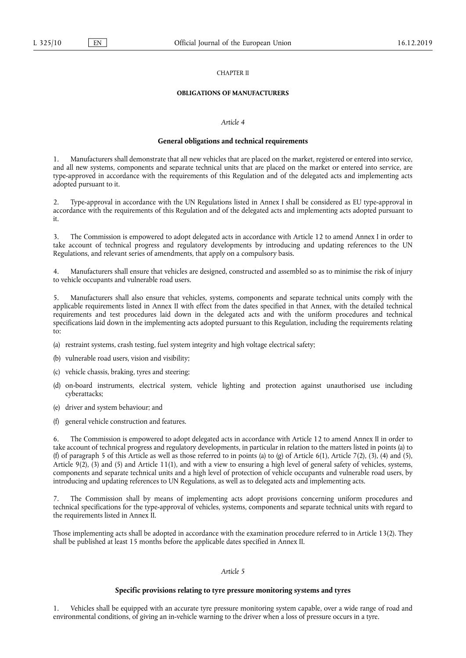#### CHAPTER II

#### **OBLIGATIONS OF MANUFACTURERS**

#### *Article 4*

#### **General obligations and technical requirements**

1. Manufacturers shall demonstrate that all new vehicles that are placed on the market, registered or entered into service, and all new systems, components and separate technical units that are placed on the market or entered into service, are type-approved in accordance with the requirements of this Regulation and of the delegated acts and implementing acts adopted pursuant to it.

2. Type-approval in accordance with the UN Regulations listed in Annex I shall be considered as EU type-approval in accordance with the requirements of this Regulation and of the delegated acts and implementing acts adopted pursuant to it.

3. The Commission is empowered to adopt delegated acts in accordance with Article 12 to amend Annex I in order to take account of technical progress and regulatory developments by introducing and updating references to the UN Regulations, and relevant series of amendments, that apply on a compulsory basis.

4. Manufacturers shall ensure that vehicles are designed, constructed and assembled so as to minimise the risk of injury to vehicle occupants and vulnerable road users.

5. Manufacturers shall also ensure that vehicles, systems, components and separate technical units comply with the applicable requirements listed in Annex II with effect from the dates specified in that Annex, with the detailed technical requirements and test procedures laid down in the delegated acts and with the uniform procedures and technical specifications laid down in the implementing acts adopted pursuant to this Regulation, including the requirements relating to:

- (a) restraint systems, crash testing, fuel system integrity and high voltage electrical safety;
- (b) vulnerable road users, vision and visibility;
- (c) vehicle chassis, braking, tyres and steering;
- (d) on-board instruments, electrical system, vehicle lighting and protection against unauthorised use including cyberattacks;
- (e) driver and system behaviour; and
- (f) general vehicle construction and features.

6. The Commission is empowered to adopt delegated acts in accordance with Article 12 to amend Annex II in order to take account of technical progress and regulatory developments, in particular in relation to the matters listed in points (a) to (f) of paragraph 5 of this Article as well as those referred to in points (a) to (g) of Article 6(1), Article 7(2), (3), (4) and (5), Article  $9(2)$ ,  $(3)$  and  $(5)$  and Article 11(1), and with a view to ensuring a high level of general safety of vehicles, systems, components and separate technical units and a high level of protection of vehicle occupants and vulnerable road users, by introducing and updating references to UN Regulations, as well as to delegated acts and implementing acts.

The Commission shall by means of implementing acts adopt provisions concerning uniform procedures and technical specifications for the type-approval of vehicles, systems, components and separate technical units with regard to the requirements listed in Annex II.

Those implementing acts shall be adopted in accordance with the examination procedure referred to in Article 13(2). They shall be published at least 15 months before the applicable dates specified in Annex II.

#### *Article 5*

## **Specific provisions relating to tyre pressure monitoring systems and tyres**

1. Vehicles shall be equipped with an accurate tyre pressure monitoring system capable, over a wide range of road and environmental conditions, of giving an in-vehicle warning to the driver when a loss of pressure occurs in a tyre.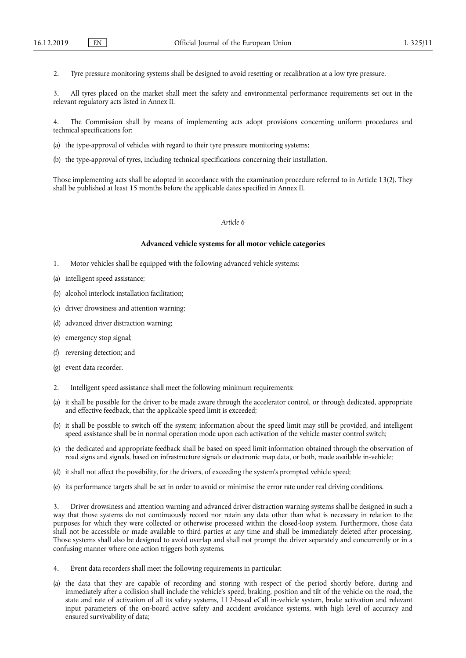2. Tyre pressure monitoring systems shall be designed to avoid resetting or recalibration at a low tyre pressure.

3. All tyres placed on the market shall meet the safety and environmental performance requirements set out in the relevant regulatory acts listed in Annex II.

4. The Commission shall by means of implementing acts adopt provisions concerning uniform procedures and technical specifications for:

- (a) the type-approval of vehicles with regard to their tyre pressure monitoring systems;
- (b) the type-approval of tyres, including technical specifications concerning their installation.

Those implementing acts shall be adopted in accordance with the examination procedure referred to in Article 13(2). They shall be published at least 15 months before the applicable dates specified in Annex II.

#### *Article 6*

#### **Advanced vehicle systems for all motor vehicle categories**

- 1. Motor vehicles shall be equipped with the following advanced vehicle systems:
- (a) intelligent speed assistance;
- (b) alcohol interlock installation facilitation;
- (c) driver drowsiness and attention warning;
- (d) advanced driver distraction warning;
- (e) emergency stop signal;
- (f) reversing detection; and
- (g) event data recorder.
- 2. Intelligent speed assistance shall meet the following minimum requirements:
- (a) it shall be possible for the driver to be made aware through the accelerator control, or through dedicated, appropriate and effective feedback, that the applicable speed limit is exceeded;
- (b) it shall be possible to switch off the system; information about the speed limit may still be provided, and intelligent speed assistance shall be in normal operation mode upon each activation of the vehicle master control switch;
- (c) the dedicated and appropriate feedback shall be based on speed limit information obtained through the observation of road signs and signals, based on infrastructure signals or electronic map data, or both, made available in-vehicle;
- (d) it shall not affect the possibility, for the drivers, of exceeding the system's prompted vehicle speed;
- (e) its performance targets shall be set in order to avoid or minimise the error rate under real driving conditions.

3. Driver drowsiness and attention warning and advanced driver distraction warning systems shall be designed in such a way that those systems do not continuously record nor retain any data other than what is necessary in relation to the purposes for which they were collected or otherwise processed within the closed-loop system. Furthermore, those data shall not be accessible or made available to third parties at any time and shall be immediately deleted after processing. Those systems shall also be designed to avoid overlap and shall not prompt the driver separately and concurrently or in a confusing manner where one action triggers both systems.

- 4. Event data recorders shall meet the following requirements in particular:
- (a) the data that they are capable of recording and storing with respect of the period shortly before, during and immediately after a collision shall include the vehicle's speed, braking, position and tilt of the vehicle on the road, the state and rate of activation of all its safety systems, 112-based eCall in-vehicle system, brake activation and relevant input parameters of the on-board active safety and accident avoidance systems, with high level of accuracy and ensured survivability of data;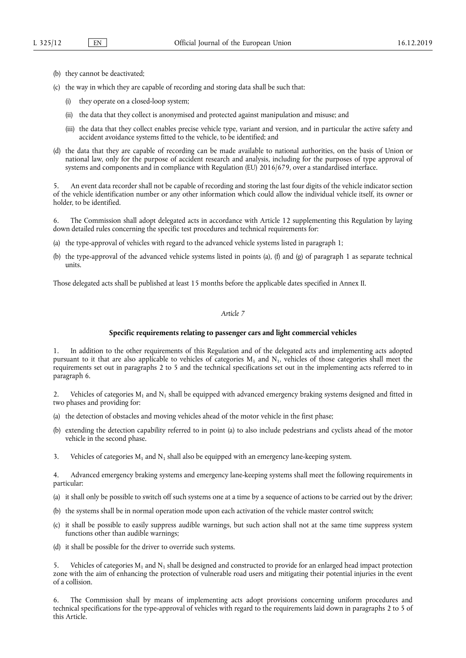- (b) they cannot be deactivated;
- (c) the way in which they are capable of recording and storing data shall be such that:
	- (i) they operate on a closed-loop system;
	- (ii) the data that they collect is anonymised and protected against manipulation and misuse; and
	- (iii) the data that they collect enables precise vehicle type, variant and version, and in particular the active safety and accident avoidance systems fitted to the vehicle, to be identified; and
- (d) the data that they are capable of recording can be made available to national authorities, on the basis of Union or national law, only for the purpose of accident research and analysis, including for the purposes of type approval of systems and components and in compliance with Regulation (EU) 2016/679, over a standardised interface.

5. An event data recorder shall not be capable of recording and storing the last four digits of the vehicle indicator section of the vehicle identification number or any other information which could allow the individual vehicle itself, its owner or holder, to be identified.

6. The Commission shall adopt delegated acts in accordance with Article 12 supplementing this Regulation by laying down detailed rules concerning the specific test procedures and technical requirements for:

- (a) the type-approval of vehicles with regard to the advanced vehicle systems listed in paragraph 1;
- (b) the type-approval of the advanced vehicle systems listed in points (a), (f) and (g) of paragraph 1 as separate technical units.

Those delegated acts shall be published at least 15 months before the applicable dates specified in Annex II.

#### *Article 7*

#### **Specific requirements relating to passenger cars and light commercial vehicles**

1. In addition to the other requirements of this Regulation and of the delegated acts and implementing acts adopted pursuant to it that are also applicable to vehicles of categories  $M_1$  and  $N_1$ , vehicles of those categories shall meet the requirements set out in paragraphs 2 to 5 and the technical specifications set out in the implementing acts referred to in paragraph 6.

2. Vehicles of categories  $M_1$  and  $N_1$  shall be equipped with advanced emergency braking systems designed and fitted in two phases and providing for:

- (a) the detection of obstacles and moving vehicles ahead of the motor vehicle in the first phase;
- (b) extending the detection capability referred to in point (a) to also include pedestrians and cyclists ahead of the motor vehicle in the second phase.
- 3. Vehicles of categories  $M_1$  and  $N_1$  shall also be equipped with an emergency lane-keeping system.

4. Advanced emergency braking systems and emergency lane-keeping systems shall meet the following requirements in particular:

- (a) it shall only be possible to switch off such systems one at a time by a sequence of actions to be carried out by the driver;
- (b) the systems shall be in normal operation mode upon each activation of the vehicle master control switch;
- (c) it shall be possible to easily suppress audible warnings, but such action shall not at the same time suppress system functions other than audible warnings;
- (d) it shall be possible for the driver to override such systems.

Vehicles of categories  $M_1$  and  $N_1$  shall be designed and constructed to provide for an enlarged head impact protection zone with the aim of enhancing the protection of vulnerable road users and mitigating their potential injuries in the event of a collision.

6. The Commission shall by means of implementing acts adopt provisions concerning uniform procedures and technical specifications for the type-approval of vehicles with regard to the requirements laid down in paragraphs 2 to 5 of this Article.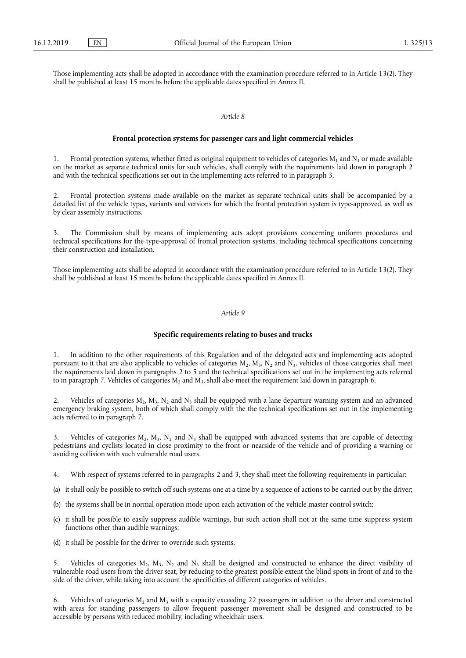Those implementing acts shall be adopted in accordance with the examination procedure referred to in Article 13(2). They shall be published at least 15 months before the applicable dates specified in Annex II.

#### *Article 8*

#### **Frontal protection systems for passenger cars and light commercial vehicles**

1. Frontal protection systems, whether fitted as original equipment to vehicles of categories  $M_1$  and  $N_1$  or made available on the market as separate technical units for such vehicles, shall comply with the requirements laid down in paragraph 2 and with the technical specifications set out in the implementing acts referred to in paragraph 3.

2. Frontal protection systems made available on the market as separate technical units shall be accompanied by a detailed list of the vehicle types, variants and versions for which the frontal protection system is type-approved, as well as by clear assembly instructions.

3. The Commission shall by means of implementing acts adopt provisions concerning uniform procedures and technical specifications for the type-approval of frontal protection systems, including technical specifications concerning their construction and installation.

Those implementing acts shall be adopted in accordance with the examination procedure referred to in Article 13(2). They shall be published at least 15 months before the applicable dates specified in Annex II.

### *Article 9*

#### **Specific requirements relating to buses and trucks**

1. In addition to the other requirements of this Regulation and of the delegated acts and implementing acts adopted pursuant to it that are also applicable to vehicles of categories  $M_2$ ,  $M_3$ ,  $N_2$  and  $N_3$ , vehicles of those categories shall meet the requirements laid down in paragraphs 2 to 5 and the technical specifications set out in the implementing acts referred to in paragraph 7. Vehicles of categories  $M_2$  and  $M_3$ , shall also meet the requirement laid down in paragraph 6.

2. Vehicles of categories  $M_2$ ,  $M_3$ ,  $N_2$  and  $N_3$  shall be equipped with a lane departure warning system and an advanced emergency braking system, both of which shall comply with the the technical specifications set out in the implementing acts referred to in paragraph 7.

Vehicles of categories  $M_2$ ,  $M_3$ ,  $N_2$  and  $N_3$  shall be equipped with advanced systems that are capable of detecting pedestrians and cyclists located in close proximity to the front or nearside of the vehicle and of providing a warning or avoiding collision with such vulnerable road users.

4. With respect of systems referred to in paragraphs 2 and 3, they shall meet the following requirements in particular:

- (a) it shall only be possible to switch off such systems one at a time by a sequence of actions to be carried out by the driver;
- (b) the systems shall be in normal operation mode upon each activation of the vehicle master control switch;
- (c) it shall be possible to easily suppress audible warnings, but such action shall not at the same time suppress system functions other than audible warnings;
- (d) it shall be possible for the driver to override such systems.

5. Vehicles of categories  $M_2$ ,  $M_3$ ,  $N_2$  and  $N_3$  shall be designed and constructed to enhance the direct visibility of vulnerable road users from the driver seat, by reducing to the greatest possible extent the blind spots in front of and to the side of the driver, while taking into account the specificities of different categories of vehicles.

6. Vehicles of categories M<sub>2</sub> and M<sub>3</sub> with a capacity exceeding 22 passengers in addition to the driver and constructed with areas for standing passengers to allow frequent passenger movement shall be designed and constructed to be accessible by persons with reduced mobility, including wheelchair users.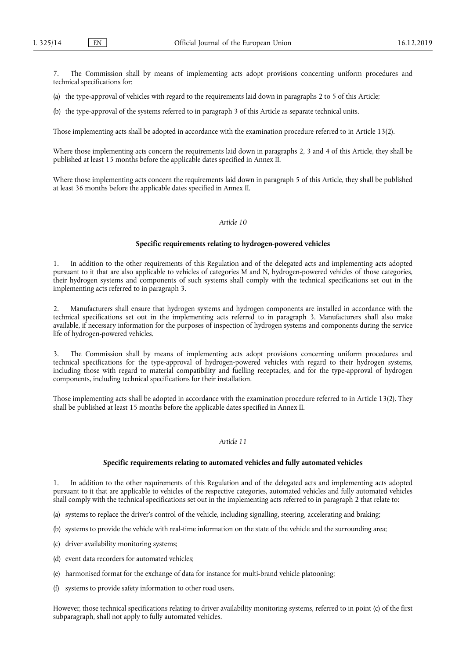The Commission shall by means of implementing acts adopt provisions concerning uniform procedures and technical specifications for:

(a) the type-approval of vehicles with regard to the requirements laid down in paragraphs 2 to 5 of this Article;

(b) the type-approval of the systems referred to in paragraph 3 of this Article as separate technical units.

Those implementing acts shall be adopted in accordance with the examination procedure referred to in Article 13(2).

Where those implementing acts concern the requirements laid down in paragraphs 2, 3 and 4 of this Article, they shall be published at least 15 months before the applicable dates specified in Annex II.

Where those implementing acts concern the requirements laid down in paragraph 5 of this Article, they shall be published at least 36 months before the applicable dates specified in Annex II.

### *Article 10*

#### **Specific requirements relating to hydrogen-powered vehicles**

1. In addition to the other requirements of this Regulation and of the delegated acts and implementing acts adopted pursuant to it that are also applicable to vehicles of categories M and N, hydrogen-powered vehicles of those categories, their hydrogen systems and components of such systems shall comply with the technical specifications set out in the implementing acts referred to in paragraph 3.

2. Manufacturers shall ensure that hydrogen systems and hydrogen components are installed in accordance with the technical specifications set out in the implementing acts referred to in paragraph 3. Manufacturers shall also make available, if necessary information for the purposes of inspection of hydrogen systems and components during the service life of hydrogen-powered vehicles.

3. The Commission shall by means of implementing acts adopt provisions concerning uniform procedures and technical specifications for the type-approval of hydrogen‐powered vehicles with regard to their hydrogen systems, including those with regard to material compatibility and fuelling receptacles, and for the type-approval of hydrogen components, including technical specifications for their installation.

Those implementing acts shall be adopted in accordance with the examination procedure referred to in Article 13(2). They shall be published at least 15 months before the applicable dates specified in Annex II.

### *Article 11*

#### **Specific requirements relating to automated vehicles and fully automated vehicles**

1. In addition to the other requirements of this Regulation and of the delegated acts and implementing acts adopted pursuant to it that are applicable to vehicles of the respective categories, automated vehicles and fully automated vehicles shall comply with the technical specifications set out in the implementing acts referred to in paragraph 2 that relate to:

(a) systems to replace the driver's control of the vehicle, including signalling, steering, accelerating and braking;

- (b) systems to provide the vehicle with real-time information on the state of the vehicle and the surrounding area;
- (c) driver availability monitoring systems;
- (d) event data recorders for automated vehicles;
- (e) harmonised format for the exchange of data for instance for multi‐brand vehicle platooning;
- (f) systems to provide safety information to other road users.

However, those technical specifications relating to driver availability monitoring systems, referred to in point (c) of the first subparagraph, shall not apply to fully automated vehicles.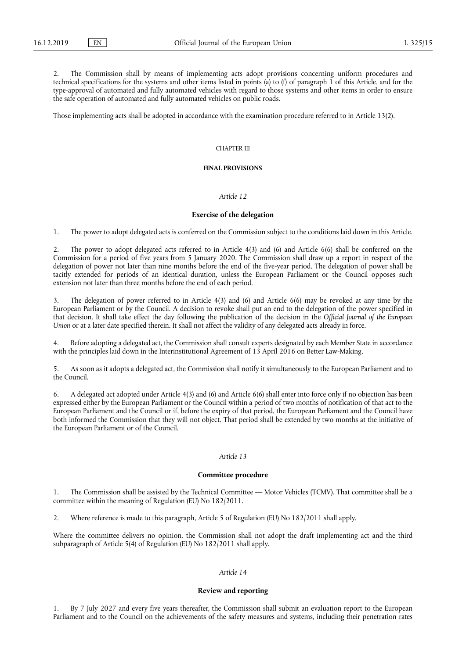2. The Commission shall by means of implementing acts adopt provisions concerning uniform procedures and technical specifications for the systems and other items listed in points (a) to (f) of paragraph 1 of this Article, and for the type-approval of automated and fully automated vehicles with regard to those systems and other items in order to ensure the safe operation of automated and fully automated vehicles on public roads.

Those implementing acts shall be adopted in accordance with the examination procedure referred to in Article 13(2).

#### CHAPTER III

### **FINAL PROVISIONS**

#### *Article 12*

#### **Exercise of the delegation**

1. The power to adopt delegated acts is conferred on the Commission subject to the conditions laid down in this Article.

2. The power to adopt delegated acts referred to in Article 4(3) and (6) and Article 6(6) shall be conferred on the Commission for a period of five years from 5 January 2020. The Commission shall draw up a report in respect of the delegation of power not later than nine months before the end of the five-year period. The delegation of power shall be tacitly extended for periods of an identical duration, unless the European Parliament or the Council opposes such extension not later than three months before the end of each period.

3. The delegation of power referred to in Article 4(3) and (6) and Article 6(6) may be revoked at any time by the European Parliament or by the Council. A decision to revoke shall put an end to the delegation of the power specified in that decision. It shall take effect the day following the publication of the decision in the *Official Journal of the European Union* or at a later date specified therein. It shall not affect the validity of any delegated acts already in force.

4. Before adopting a delegated act, the Commission shall consult experts designated by each Member State in accordance with the principles laid down in the Interinstitutional Agreement of 13 April 2016 on Better Law-Making.

5. As soon as it adopts a delegated act, the Commission shall notify it simultaneously to the European Parliament and to the Council.

6. A delegated act adopted under Article 4(3) and (6) and Article 6(6) shall enter into force only if no objection has been expressed either by the European Parliament or the Council within a period of two months of notification of that act to the European Parliament and the Council or if, before the expiry of that period, the European Parliament and the Council have both informed the Commission that they will not object. That period shall be extended by two months at the initiative of the European Parliament or of the Council.

### *Article 13*

#### **Committee procedure**

1. The Commission shall be assisted by the Technical Committee — Motor Vehicles (TCMV). That committee shall be a committee within the meaning of Regulation (EU) No 182/2011.

2. Where reference is made to this paragraph, Article 5 of Regulation (EU) No 182/2011 shall apply.

Where the committee delivers no opinion, the Commission shall not adopt the draft implementing act and the third subparagraph of Article 5(4) of Regulation (EU) No 182/2011 shall apply.

#### *Article 14*

#### **Review and reporting**

1. By 7 July 2027 and every five years thereafter, the Commission shall submit an evaluation report to the European Parliament and to the Council on the achievements of the safety measures and systems, including their penetration rates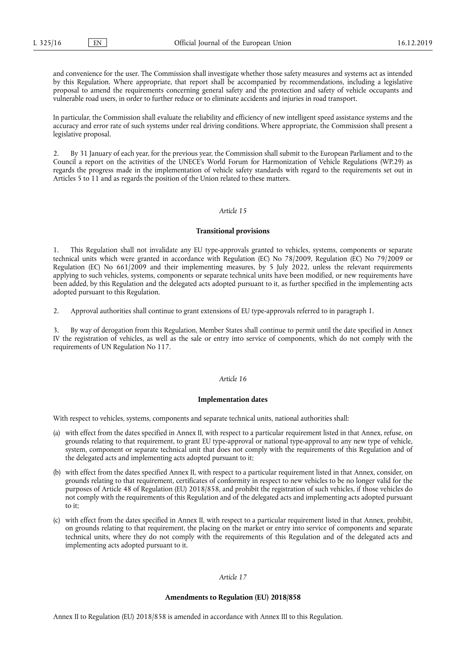and convenience for the user. The Commission shall investigate whether those safety measures and systems act as intended by this Regulation. Where appropriate, that report shall be accompanied by recommendations, including a legislative proposal to amend the requirements concerning general safety and the protection and safety of vehicle occupants and vulnerable road users, in order to further reduce or to eliminate accidents and injuries in road transport.

In particular, the Commission shall evaluate the reliability and efficiency of new intelligent speed assistance systems and the accuracy and error rate of such systems under real driving conditions. Where appropriate, the Commission shall present a legislative proposal.

2. By 31 January of each year, for the previous year, the Commission shall submit to the European Parliament and to the Council a report on the activities of the UNECE's World Forum for Harmonization of Vehicle Regulations (WP.29) as regards the progress made in the implementation of vehicle safety standards with regard to the requirements set out in Articles 5 to 11 and as regards the position of the Union related to these matters.

#### *Article 15*

#### **Transitional provisions**

1. This Regulation shall not invalidate any EU type-approvals granted to vehicles, systems, components or separate technical units which were granted in accordance with Regulation (EC) No 78/2009, Regulation (EC) No 79/2009 or Regulation (EC) No 661/2009 and their implementing measures, by 5 July 2022, unless the relevant requirements applying to such vehicles, systems, components or separate technical units have been modified, or new requirements have been added, by this Regulation and the delegated acts adopted pursuant to it, as further specified in the implementing acts adopted pursuant to this Regulation.

2. Approval authorities shall continue to grant extensions of EU type-approvals referred to in paragraph 1.

3. By way of derogation from this Regulation, Member States shall continue to permit until the date specified in Annex IV the registration of vehicles, as well as the sale or entry into service of components, which do not comply with the requirements of UN Regulation No 117.

#### *Article 16*

#### **Implementation dates**

With respect to vehicles, systems, components and separate technical units, national authorities shall:

- (a) with effect from the dates specified in Annex II, with respect to a particular requirement listed in that Annex, refuse, on grounds relating to that requirement, to grant EU type‐approval or national type-approval to any new type of vehicle, system, component or separate technical unit that does not comply with the requirements of this Regulation and of the delegated acts and implementing acts adopted pursuant to it;
- (b) with effect from the dates specified Annex II, with respect to a particular requirement listed in that Annex, consider, on grounds relating to that requirement, certificates of conformity in respect to new vehicles to be no longer valid for the purposes of Article 48 of Regulation (EU) 2018/858, and prohibit the registration of such vehicles, if those vehicles do not comply with the requirements of this Regulation and of the delegated acts and implementing acts adopted pursuant to it;
- (c) with effect from the dates specified in Annex II, with respect to a particular requirement listed in that Annex, prohibit, on grounds relating to that requirement, the placing on the market or entry into service of components and separate technical units, where they do not comply with the requirements of this Regulation and of the delegated acts and implementing acts adopted pursuant to it.

### *Article 17*

#### **Amendments to Regulation (EU) 2018/858**

Annex II to Regulation (EU) 2018/858 is amended in accordance with Annex III to this Regulation.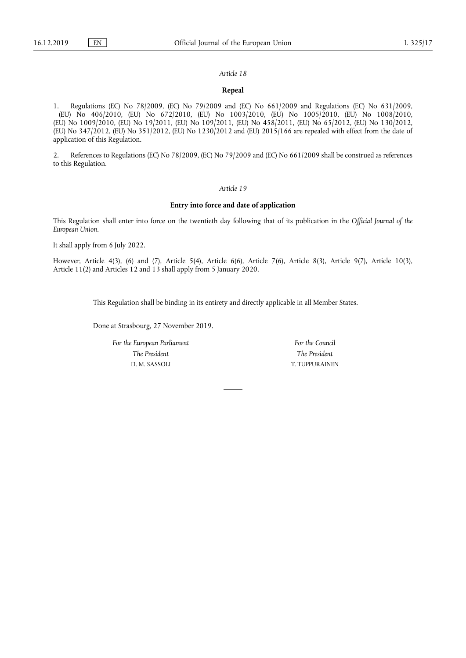### *Article 18*

#### **Repeal**

1. Regulations (EC) No 78/2009, (EC) No 79/2009 and (EC) No 661/2009 and Regulations (EC) No 631/2009, (EU) No 406/2010, (EU) No 672/2010, (EU) No 1003/2010, (EU) No 1005/2010, (EU) No 1008/2010, (EU) No 1009/2010, (EU) No 19/2011, (EU) No 109/2011, (EU) No 458/2011, (EU) No 65/2012, (EU) No 130/2012, (EU) No 347/2012, (EU) No 351/2012, (EU) No 1230/2012 and (EU) 2015/166 are repealed with effect from the date of application of this Regulation.

2. References to Regulations (EC) No 78/2009, (EC) No 79/2009 and (EC) No 661/2009 shall be construed as references to this Regulation.

#### *Article 19*

#### **Entry into force and date of application**

This Regulation shall enter into force on the twentieth day following that of its publication in the *Official Journal of the European Union*.

It shall apply from 6 July 2022.

However, Article 4(3), (6) and (7), Article 5(4), Article 6(6), Article 7(6), Article 8(3), Article 9(7), Article 10(3), Article 11(2) and Articles 12 and 13 shall apply from 5 January 2020.

This Regulation shall be binding in its entirety and directly applicable in all Member States.

Done at Strasbourg, 27 November 2019.

*For the European Parliament The President*  D. M. SASSOLI

*For the Council The President*  T. TUPPURAINEN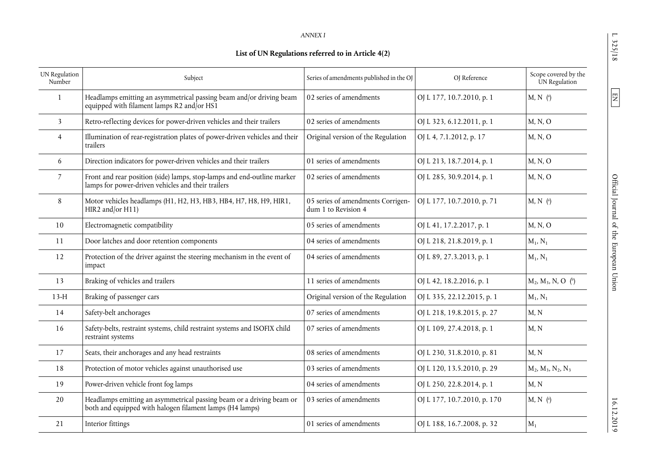L 325/18

 $\boxed{EN}$ 

| . .<br>٠ |
|----------|
|          |

## **List of UN Regulations referred to in Article 4(2)**

| UN Regulation<br>Number | Subject                                                                                                                          | Series of amendments published in the OJ                 | OJ Reference                | Scope covered by the<br>UN Regulation |
|-------------------------|----------------------------------------------------------------------------------------------------------------------------------|----------------------------------------------------------|-----------------------------|---------------------------------------|
| 1                       | Headlamps emitting an asymmetrical passing beam and/or driving beam<br>equipped with filament lamps R2 and/or HS1                | 02 series of amendments                                  | OJ L 177, 10.7.2010, p. 1   | $M, N$ (a)                            |
| 3                       | Retro-reflecting devices for power-driven vehicles and their trailers                                                            | 02 series of amendments                                  | OJ L 323, 6.12.2011, p. 1   | M, N, O                               |
| $\overline{4}$          | Illumination of rear-registration plates of power-driven vehicles and their<br>trailers                                          | Original version of the Regulation                       | OJ L 4, 7.1.2012, p. 17     | M, N, O                               |
| 6                       | Direction indicators for power-driven vehicles and their trailers                                                                | 01 series of amendments                                  | OJ L 213, 18.7.2014, p. 1   | M, N, O                               |
| 7                       | Front and rear position (side) lamps, stop-lamps and end-outline marker<br>lamps for power-driven vehicles and their trailers    | 02 series of amendments                                  | OJ L 285, 30.9.2014, p. 1   | M, N, O                               |
| 8                       | Motor vehicles headlamps (H1, H2, H3, HB3, HB4, H7, H8, H9, HIR1,<br>HIR2 and/or H11)                                            | 05 series of amendments Corrigen-<br>dum 1 to Revision 4 | OJ L 177, 10.7.2010, p. 71  | $M, N$ (a)                            |
| 10                      | Electromagnetic compatibility                                                                                                    | 05 series of amendments                                  | OJ L 41, 17.2.2017, p. 1    | M, N, O                               |
| 11                      | Door latches and door retention components                                                                                       | 04 series of amendments                                  | OJ L 218, 21.8.2019, p. 1   | $M_1, N_1$                            |
| 12                      | Protection of the driver against the steering mechanism in the event of<br>impact                                                | 04 series of amendments                                  | OJ L 89, 27.3.2013, p. 1    | $M_1, N_1$                            |
| 13                      | Braking of vehicles and trailers                                                                                                 | 11 series of amendments                                  | OJ L 42, 18.2.2016, p. 1    | $M_2, M_3, N, O$ (b)                  |
| $13-H$                  | Braking of passenger cars                                                                                                        | Original version of the Regulation                       | OJ L 335, 22.12.2015, p. 1  | $M_1, N_1$                            |
| 14                      | Safety-belt anchorages                                                                                                           | 07 series of amendments                                  | OJ L 218, 19.8.2015, p. 27  | M, N                                  |
| 16                      | Safety-belts, restraint systems, child restraint systems and ISOFIX child<br>restraint systems                                   | 07 series of amendments                                  | OJ L 109, 27.4.2018, p. 1   | M, N                                  |
| 17                      | Seats, their anchorages and any head restraints                                                                                  | 08 series of amendments                                  | OJ L 230, 31.8.2010, p. 81  | M, N                                  |
| 18                      | Protection of motor vehicles against unauthorised use                                                                            | 03 series of amendments                                  | OJ L 120, 13.5.2010, p. 29  | $M_2, M_3, N_2, N_3$                  |
| 19                      | Power-driven vehicle front fog lamps                                                                                             | 04 series of amendments                                  | OJ L 250, 22.8.2014, p. 1   | M, N                                  |
| 20                      | Headlamps emitting an asymmetrical passing beam or a driving beam or<br>both and equipped with halogen filament lamps (H4 lamps) | 03 series of amendments                                  | OJ L 177, 10.7.2010, p. 170 | $M, N$ (a)                            |
| 21                      | Interior fittings                                                                                                                | 01 series of amendments                                  | OJ L 188, 16.7.2008, p. 32  | $M_1$                                 |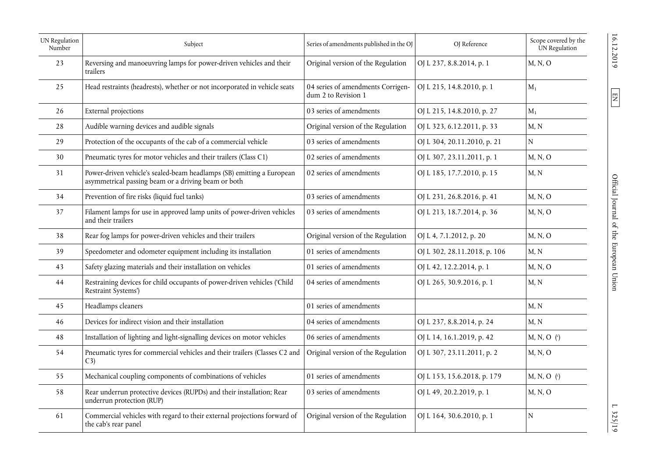| UN Regulation<br>Number | Series of amendments published in the OJ<br>Subject                                                                          |                                                          | OJ Reference                 | Scope covered by the<br>UN Regulation |
|-------------------------|------------------------------------------------------------------------------------------------------------------------------|----------------------------------------------------------|------------------------------|---------------------------------------|
| 23                      | Reversing and manoeuvring lamps for power-driven vehicles and their<br>trailers                                              | Original version of the Regulation                       | OJ L 237, 8.8.2014, p. 1     | M, N, O                               |
| 25                      | Head restraints (headrests), whether or not incorporated in vehicle seats                                                    | 04 series of amendments Corrigen-<br>dum 2 to Revision 1 | OJ L 215, 14.8.2010, p. 1    | $M_1$                                 |
| 26                      | External projections                                                                                                         | 03 series of amendments                                  | OJ L 215, 14.8.2010, p. 27   | $M_1$                                 |
| 28                      | Audible warning devices and audible signals                                                                                  | Original version of the Regulation                       | OJ L 323, 6.12.2011, p. 33   | M, N                                  |
| 29                      | Protection of the occupants of the cab of a commercial vehicle                                                               | 03 series of amendments                                  | OJ L 304, 20.11.2010, p. 21  | N                                     |
| 30                      | Pneumatic tyres for motor vehicles and their trailers (Class C1)                                                             | 02 series of amendments                                  | OJ L 307, 23.11.2011, p. 1   | M, N, O                               |
| 31                      | Power-driven vehicle's sealed-beam headlamps (SB) emitting a European<br>asymmetrical passing beam or a driving beam or both | 02 series of amendments                                  | OJ L 185, 17.7.2010, p. 15   | M, N                                  |
| 34                      | Prevention of fire risks (liquid fuel tanks)<br>03 series of amendments                                                      |                                                          | OJ L 231, 26.8.2016, p. 41   | M, N, O                               |
| 37                      | Filament lamps for use in approved lamp units of power-driven vehicles<br>and their trailers                                 | 03 series of amendments                                  | OJ L 213, 18.7.2014, p. 36   | M, N, O                               |
| 38                      | Rear fog lamps for power-driven vehicles and their trailers                                                                  | Original version of the Regulation                       | OJ L 4, 7.1.2012, p. 20      | M, N, O                               |
| 39                      | Speedometer and odometer equipment including its installation                                                                | 01 series of amendments                                  | OJ L 302, 28.11.2018, p. 106 | M, N                                  |
| 43                      | Safety glazing materials and their installation on vehicles                                                                  | 01 series of amendments                                  | OJ L 42, 12.2.2014, p. 1     | M, N, O                               |
| 44                      | Restraining devices for child occupants of power-driven vehicles ('Child<br>Restraint Systems')                              | 04 series of amendments                                  | OJ L 265, 30.9.2016, p. 1    | M, N                                  |
| 45                      | Headlamps cleaners                                                                                                           | 01 series of amendments                                  |                              | M, N                                  |
| 46                      | Devices for indirect vision and their installation                                                                           | 04 series of amendments                                  | OJ L 237, 8.8.2014, p. 24    | M, N                                  |
| 48                      | Installation of lighting and light-signalling devices on motor vehicles                                                      | 06 series of amendments                                  | OJ L 14, 16.1.2019, p. 42    | M, N, O (c)                           |
| 54                      | Pneumatic tyres for commercial vehicles and their trailers (Classes C2 and<br>(3)                                            | Original version of the Regulation                       | OJ L 307, 23.11.2011, p. 2   | M, N, O                               |
| 55                      | Mechanical coupling components of combinations of vehicles                                                                   | 01 series of amendments                                  | OJ L 153, 15.6.2018, p. 179  | $M, N, O$ ( $^{\circ}$ )              |
| 58                      | Rear underrun protective devices (RUPDs) and their installation; Rear<br>underrun protection (RUP)                           | 03 series of amendments                                  | OJ L 49, 20.2.2019, p. 1     | M, N, O                               |
| 61                      | Commercial vehicles with regard to their external projections forward of<br>the cab's rear panel                             | Original version of the Regulation                       | OJ L 164, 30.6.2010, p. 1    | ${\bf N}$                             |

 $\boxed{\Xi}$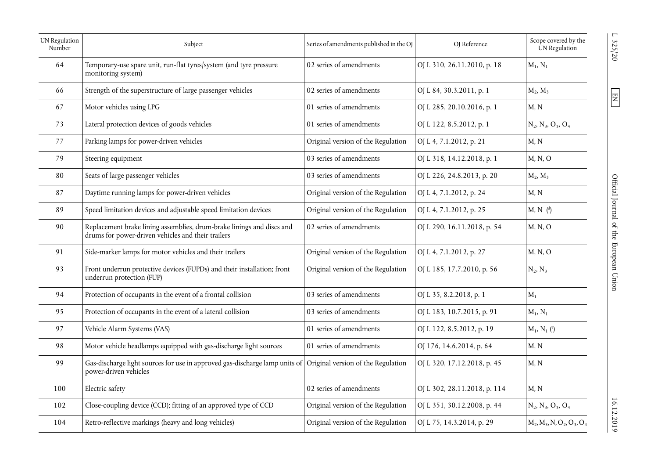| UN Regulation<br>Number | Subject                                                                                                                     | Series of amendments published in the OJ |                              |                              |
|-------------------------|-----------------------------------------------------------------------------------------------------------------------------|------------------------------------------|------------------------------|------------------------------|
| 64                      | Temporary-use spare unit, run-flat tyres/system (and tyre pressure<br>monitoring system)                                    | 02 series of amendments                  | OJ L 310, 26.11.2010, p. 18  | $M_1, N_1$                   |
| 66                      | Strength of the superstructure of large passenger vehicles                                                                  | 02 series of amendments                  | OJ L 84, 30.3.2011, p. 1     | $M_2, M_3$                   |
| 67                      | Motor vehicles using LPG                                                                                                    | 01 series of amendments                  | OJ L 285, 20.10.2016, p. 1   | M, N                         |
| 73                      | Lateral protection devices of goods vehicles                                                                                | 01 series of amendments                  | OJ L 122, 8.5.2012, p. 1     | $N_2, N_3, O_3, O_4$         |
| 77                      | Parking lamps for power-driven vehicles                                                                                     | Original version of the Regulation       | OJ L 4, 7.1.2012, p. 21      | M, N                         |
| 79                      | Steering equipment                                                                                                          | 03 series of amendments                  | OJ L 318, 14.12.2018, p. 1   | M, N, O                      |
| 80                      | Seats of large passenger vehicles                                                                                           | 03 series of amendments                  | OJ L 226, 24.8.2013, p. 20   | $M_2, M_3$                   |
| 87                      | Daytime running lamps for power-driven vehicles                                                                             | Original version of the Regulation       | OJ L 4, 7.1.2012, p. 24      | M, N                         |
| 89                      | Speed limitation devices and adjustable speed limitation devices                                                            | Original version of the Regulation       | OJ L 4, 7.1.2012, p. 25      | $M, N$ ( <sup>d</sup> )      |
| 90                      | Replacement brake lining assemblies, drum-brake linings and discs and<br>drums for power-driven vehicles and their trailers | 02 series of amendments                  | OJ L 290, 16.11.2018, p. 54  | M, N, O                      |
| 91                      | Side-marker lamps for motor vehicles and their trailers                                                                     | Original version of the Regulation       | OJ L 4, 7.1.2012, p. 27      | M, N, O                      |
| 93                      | Front underrun protective devices (FUPDs) and their installation; front<br>underrun protection (FUP)                        | Original version of the Regulation       | OJ L 185, 17.7.2010, p. 56   | $N_2, N_3$                   |
| 94                      | Protection of occupants in the event of a frontal collision                                                                 | 03 series of amendments                  | OJ L 35, 8.2.2018, p. 1      | $M_1$                        |
| 95                      | Protection of occupants in the event of a lateral collision                                                                 | 03 series of amendments                  | OJ L 183, 10.7.2015, p. 91   | $M_1, N_1$                   |
| 97                      | Vehicle Alarm Systems (VAS)                                                                                                 | 01 series of amendments                  | OJ L 122, 8.5.2012, p. 19    | $M_1, N_1$ ( $^e$ )          |
| 98                      | Motor vehicle headlamps equipped with gas-discharge light sources                                                           | 01 series of amendments                  | OJ 176, 14.6.2014, p. 64     | M, N                         |
| 99                      | Gas-discharge light sources for use in approved gas-discharge lamp units of<br>power-driven vehicles                        | Original version of the Regulation       | OJ L 320, 17.12.2018, p. 45  | M, N                         |
| 100                     | Electric safety                                                                                                             | 02 series of amendments                  | OJ L 302, 28.11.2018, p. 114 | M, N                         |
| 102                     | Close-coupling device (CCD); fitting of an approved type of CCD                                                             | Original version of the Regulation       | OJ L 351, 30.12.2008, p. 44  | $N_2, N_3, O_3, O_4$         |
| 104                     | Retro-reflective markings (heavy and long vehicles)                                                                         | Original version of the Regulation       | OJ L 75, 14.3.2014, p. 29    | $M_2, M_3, N, O_2, O_3, O_4$ |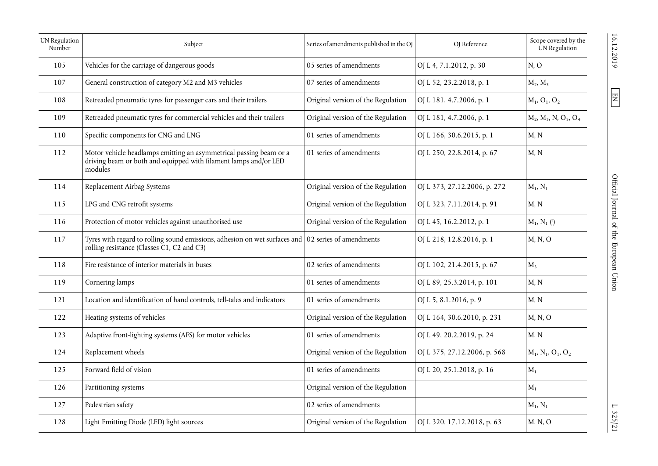| UN Regulation<br>Number | Subject                                                                                                                                           | Series of amendments published in the OJ | OJ Reference                 | Scope covered by the<br>UN Regulation              |
|-------------------------|---------------------------------------------------------------------------------------------------------------------------------------------------|------------------------------------------|------------------------------|----------------------------------------------------|
| 105                     | Vehicles for the carriage of dangerous goods                                                                                                      | 05 series of amendments                  | OJ L 4, 7.1.2012, p. 30      | N, O                                               |
| 107                     | General construction of category M2 and M3 vehicles                                                                                               | 07 series of amendments                  | OJ L 52, 23.2.2018, p. 1     | $M_2, M_3$                                         |
| 108                     | Retreaded pneumatic tyres for passenger cars and their trailers                                                                                   | Original version of the Regulation       | OJ L 181, 4.7.2006, p. 1     | $M_1$ , O <sub>1</sub> , O <sub>2</sub>            |
| 109                     | Retreaded pneumatic tyres for commercial vehicles and their trailers                                                                              | Original version of the Regulation       | OJ L 181, 4.7.2006, p. 1     | $M_2$ , $M_3$ , N, O <sub>3</sub> , O <sub>4</sub> |
| 110                     | Specific components for CNG and LNG                                                                                                               | 01 series of amendments                  | OJ L 166, 30.6.2015, p. 1    | M, N                                               |
| 112                     | Motor vehicle headlamps emitting an asymmetrical passing beam or a<br>driving beam or both and equipped with filament lamps and/or LED<br>modules | 01 series of amendments                  | OJ L 250, 22.8.2014, p. 67   | M, N                                               |
| 114                     | Replacement Airbag Systems                                                                                                                        | Original version of the Regulation       | OJ L 373, 27.12.2006, p. 272 | $M_1, N_1$                                         |
| 115                     | LPG and CNG retrofit systems                                                                                                                      | Original version of the Regulation       | OJ L 323, 7.11.2014, p. 91   | M, N                                               |
| 116                     | Protection of motor vehicles against unauthorised use                                                                                             | Original version of the Regulation       | OJ L 45, 16.2.2012, p. 1     | $M_1, N_1$ ( $^e$ )                                |
| 117                     | Tyres with regard to rolling sound emissions, adhesion on wet surfaces and<br>rolling resistance (Classes C1, C2 and C3)                          | 02 series of amendments                  | OJ L 218, 12.8.2016, p. 1    | M, N, O                                            |
| 118                     | Fire resistance of interior materials in buses                                                                                                    | 02 series of amendments                  | OJ L 102, 21.4.2015, p. 67   | $M_3$                                              |
| 119                     | Cornering lamps                                                                                                                                   | 01 series of amendments                  | OJ L 89, 25.3.2014, p. 101   | M, N                                               |
| 121                     | Location and identification of hand controls, tell-tales and indicators                                                                           | 01 series of amendments                  | OJ L 5, 8.1.2016, p. 9       | M, N                                               |
| 122                     | Heating systems of vehicles                                                                                                                       | Original version of the Regulation       | OJ L 164, 30.6.2010, p. 231  | M, N, O                                            |
| 123                     | Adaptive front-lighting systems (AFS) for motor vehicles                                                                                          | 01 series of amendments                  | OJ L 49, 20.2.2019, p. 24    | M, N                                               |
| 124                     | Replacement wheels                                                                                                                                | Original version of the Regulation       | OJ L 375, 27.12.2006, p. 568 | $M_1, N_1, O_1, O_2$                               |
| 125                     | Forward field of vision                                                                                                                           | 01 series of amendments                  | OJ L 20, 25.1.2018, p. 16    | $M_1$                                              |
| 126                     | Partitioning systems                                                                                                                              | Original version of the Regulation       |                              | $M_1$                                              |
| 127                     | Pedestrian safety                                                                                                                                 | 02 series of amendments                  |                              | $M_1, N_1$                                         |
| 128                     | Light Emitting Diode (LED) light sources                                                                                                          | Original version of the Regulation       | OJ L 320, 17.12.2018, p. 63  | M, N, O                                            |

 $\boxed{\Xi}$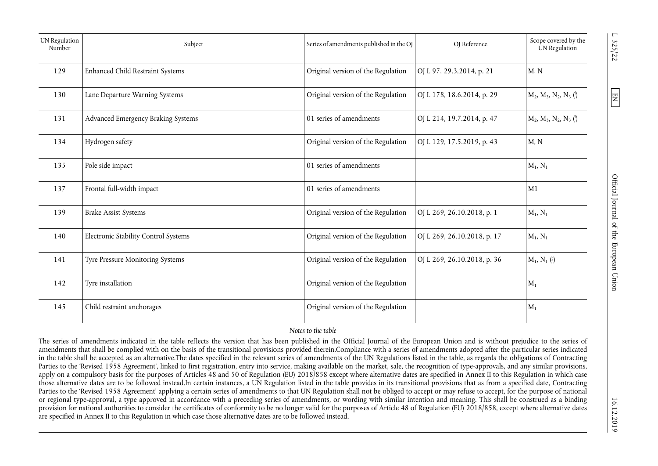| UN Regulation<br>Number | Subject                              | Series of amendments published in the OJ | OJ Reference                | Scope covered by the<br>UN Regulation |
|-------------------------|--------------------------------------|------------------------------------------|-----------------------------|---------------------------------------|
| 129                     | Enhanced Child Restraint Systems     | Original version of the Regulation       | OJ L 97, 29.3.2014, p. 21   | M, N                                  |
| 130                     | Lane Departure Warning Systems       | Original version of the Regulation       | OJ L 178, 18.6.2014, p. 29  | $M_2, M_3, N_2, N_3$ (f)              |
| 131                     | Advanced Emergency Braking Systems   | 01 series of amendments                  | OJ L 214, 19.7.2014, p. 47  | $M_2, M_3, N_2, N_3$ (f)              |
| 134                     | Hydrogen safety                      | Original version of the Regulation       | OJ L 129, 17.5.2019, p. 43  | M, N                                  |
| 135                     | Pole side impact                     | 01 series of amendments                  |                             | $M_1, N_1$                            |
| 137                     | Frontal full-width impact            | 01 series of amendments                  |                             | M1                                    |
| 139                     | <b>Brake Assist Systems</b>          | Original version of the Regulation       | OJ L 269, 26.10.2018, p. 1  | $M_1, N_1$                            |
| 140                     | Electronic Stability Control Systems | Original version of the Regulation       | OJ L 269, 26.10.2018, p. 17 | $M_1, N_1$                            |
| 141                     | Tyre Pressure Monitoring Systems     | Original version of the Regulation       | OJ L 269, 26.10.2018, p. 36 | $M_1, N_1$ (8)                        |
| 142                     | Tyre installation                    | Original version of the Regulation       |                             | $M_1$                                 |
| 145                     | Child restraint anchorages           | Original version of the Regulation       |                             | $M_1$                                 |

## *Notes to the table*

The series of amendments indicated in the table reflects the version that has been published in the Official Journal of the European Union and is without prejudice to the series of amendments that shall be complied with on the basis of the transitional provisions provided therein.Compliance with a series of amendments adopted after the particular series indicated in the table shall be accepted as an alternative.The dates specified in the relevant series of amendments of the UN Regulations listed in the table, as regards the obligations of Contracting Parties to the 'Revised 1958 Agreement', linked to first registration, entry into service, making available on the market, sale, the recognition of type-approvals, and any similar provisions, apply on a compulsory basis for the purposes of Articles 48 and 50 of Regulation (EU) 2018/858 except where alternative dates are specified in Annex II to this Regulation in which case those alternative dates are to be followed instead.In certain instances, a UN Regulation listed in the table provides in its transitional provisions that as from a specified date, Contracting Parties to the 'Revised 1958 Agreement' applying a certain series of amendments to that UN Regulation shall not be obliged to accept or may refuse to accept, for the purpose of national or regional type-approval, a type approved in accordance with a preceding series of amendments, or wording with similar intention and meaning. This shall be construed as a binding provision for national authorities to consider the certificates of conformity to be no longer valid for the purposes of Article 48 of Regulation (EU) 2018/858, except where alternative dates are specified in Annex II to this Regulation in which case those alternative dates are to be followed instead.

325/22

 $\boxed{\text{E}}$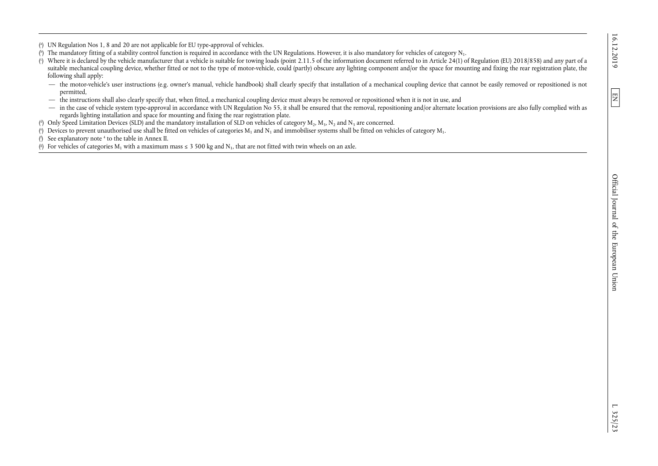( a) UN Regulation Nos 1, 8 and 20 are not applicable for EU type-approval of vehicles.

- (\*) The mandatory fitting of a stability control function is required in accordance with the UN Regulations. However, it is also mandatory for vehicles of category  $N_1$ .
- ( c) Where it is declared by the vehicle manufacturer that a vehicle is suitable for towing loads (point 2.11.5 of the information document referred to in Article 24(1) of Regulation (EU) 2018/858) and any part of a suitable mechanical coupling device, whether fitted or not to the type of motor-vehicle, could (partly) obscure any lighting component and/or the space for mounting and fixing the rear registration plate, the following shall apply:
	- the motor-vehicle's user instructions (e.g. owner's manual, vehicle handbook) shall clearly specify that installation of a mechanical coupling device that cannot be easily removed or repositioned is not permitted,
	- the instructions shall also clearly specify that, when fitted, a mechanical coupling device must always be removed or repositioned when it is not in use, and
	- in the case of vehicle system type-approval in accordance with UN Regulation No 55, it shall be ensured that the removal, repositioning and/or alternate location provisions are also fully complied with as regards lighting installation and space for mounting and fixing the rear registration plate.

( $^{\circ}$ ) Only Speed Limitation Devices (SLD) and the mandatory installation of SLD on vehicles of category  $M_2$ ,  $M_3$ ,  $N_2$  and  $N_3$  are concerned.

(\*) Devices to prevent unauthorised use shall be fitted on vehicles of categories  $M_1$  and  $N_1$  and immobiliser systems shall be fitted on vehicles of category  $M_1$ .

( f) See explanatory note 4 to the table in Annex II.

(8) For vehicles of categories  $M_1$  with a maximum mass  $\leq 3500$  kg and  $N_1$ , that are not fitted with twin wheels on an axle.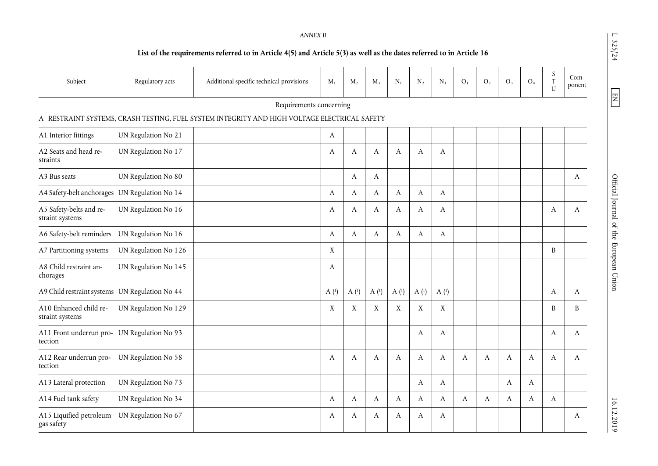### *ANNEX II*

## **List of the requirements referred to in Article 4(5) and Article 5(3) as well as the dates referred to in Article 16**

| Subject                                    | Regulatory acts      | Additional specific technical provisions                                                     | $M_1$            | $M_2$            | $M_3$            | $N_1$            | $N_2$            | $N_3$            | O <sub>1</sub> | O <sub>2</sub> | O <sub>3</sub> | O <sub>4</sub> | $\boldsymbol{S}$<br>$\rm T$<br>U | Com-<br>ponent |
|--------------------------------------------|----------------------|----------------------------------------------------------------------------------------------|------------------|------------------|------------------|------------------|------------------|------------------|----------------|----------------|----------------|----------------|----------------------------------|----------------|
|                                            |                      | Requirements concerning                                                                      |                  |                  |                  |                  |                  |                  |                |                |                |                |                                  |                |
|                                            |                      | A RESTRAINT SYSTEMS, CRASH TESTING, FUEL SYSTEM INTEGRITY AND HIGH VOLTAGE ELECTRICAL SAFETY |                  |                  |                  |                  |                  |                  |                |                |                |                |                                  |                |
| A1 Interior fittings                       | UN Regulation No 21  |                                                                                              | A                |                  |                  |                  |                  |                  |                |                |                |                |                                  |                |
| A2 Seats and head re-<br>straints          | UN Regulation No 17  |                                                                                              | A                | A                | A                | A                | A                | A                |                |                |                |                |                                  |                |
| A3 Bus seats                               | UN Regulation No 80  |                                                                                              |                  | A                | A                |                  |                  |                  |                |                |                |                |                                  | A              |
| A4 Safety-belt anchorages                  | UN Regulation No 14  |                                                                                              | A                | A                | A                | A                | A                | A                |                |                |                |                |                                  |                |
| A5 Safety-belts and re-<br>straint systems | UN Regulation No 16  |                                                                                              | A                | A                | A                | A                | A                | A                |                |                |                |                | A                                | A              |
| A6 Safety-belt reminders                   | UN Regulation No 16  |                                                                                              | A                | $\boldsymbol{A}$ | A                | $\boldsymbol{A}$ | A                | A                |                |                |                |                |                                  |                |
| A7 Partitioning systems                    | UN Regulation No 126 |                                                                                              | X                |                  |                  |                  |                  |                  |                |                |                |                | B                                |                |
| A8 Child restraint an-<br>chorages         | UN Regulation No 145 |                                                                                              | A                |                  |                  |                  |                  |                  |                |                |                |                |                                  |                |
| A9 Child restraint systems                 | UN Regulation No 44  |                                                                                              | A <sup>(1)</sup> | A <sup>(1)</sup> | A <sup>(1)</sup> | A <sup>(1)</sup> | A <sup>(1)</sup> | A <sup>(1)</sup> |                |                |                |                | A                                | A              |
| A10 Enhanced child re-<br>straint systems  | UN Regulation No 129 |                                                                                              | X                | $\mathbf X$      | X                | X                | X                | X                |                |                |                |                | B                                | B              |
| A11 Front underrun pro-<br>tection         | UN Regulation No 93  |                                                                                              |                  |                  |                  |                  | A                | A                |                |                |                |                | A                                | A              |
| A12 Rear underrun pro-<br>tection          | UN Regulation No 58  |                                                                                              | A                | A                | A                | A                | A                | A                | A              | A              | A              | A              | A                                | A              |
| A13 Lateral protection                     | UN Regulation No 73  |                                                                                              |                  |                  |                  |                  | A                | A                |                |                | A              | A              |                                  |                |
| A14 Fuel tank safety                       | UN Regulation No 34  |                                                                                              | A                | A                | A                | A                | A                | A                | A              | A              | A              | A              | A                                |                |
| A15 Liquified petroleum<br>gas safety      | UN Regulation No 67  |                                                                                              | A                | A                | A                | A                | A                | A                |                |                |                |                |                                  | A              |

 $\boxed{EN}$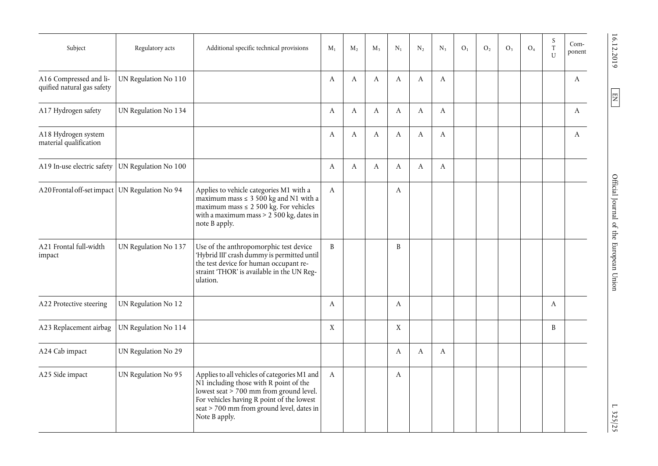| Subject                                              | Regulatory acts      | Additional specific technical provisions                                                                                                                                                                                                       | $M_1$        | $M_{2}$ | $M_{3}$ | $N_1$            | $N_{2}$ | $N_3$            | O <sub>1</sub> | O <sub>2</sub> | O <sub>3</sub> | O <sub>4</sub> | S<br>$\mathbf T$<br>$\mathbf{U}$ | Com-<br>ponent |
|------------------------------------------------------|----------------------|------------------------------------------------------------------------------------------------------------------------------------------------------------------------------------------------------------------------------------------------|--------------|---------|---------|------------------|---------|------------------|----------------|----------------|----------------|----------------|----------------------------------|----------------|
| A16 Compressed and li-<br>quified natural gas safety | UN Regulation No 110 |                                                                                                                                                                                                                                                | A            | A       | A       | A                | A       | A                |                |                |                |                |                                  | A              |
| A17 Hydrogen safety                                  | UN Regulation No 134 |                                                                                                                                                                                                                                                | A            | A       | A       | A                | A       | A                |                |                |                |                |                                  | A              |
| A18 Hydrogen system<br>material qualification        |                      |                                                                                                                                                                                                                                                | A            | A       | A       | A                | A       | $\boldsymbol{A}$ |                |                |                |                |                                  | A              |
| A19 In-use electric safety                           | UN Regulation No 100 |                                                                                                                                                                                                                                                | A            | A       | A       | A                | A       | A                |                |                |                |                |                                  |                |
| A20 Frontal off-set impact UN Regulation No 94       |                      | Applies to vehicle categories M1 with a<br>maximum mass $\leq 3\,500$ kg and N1 with a<br>maximum mass $\leq 2500$ kg. For vehicles<br>with a maximum mass $> 2\,500$ kg, dates in<br>note B apply.                                            | $\mathbf{A}$ |         |         | $\boldsymbol{A}$ |         |                  |                |                |                |                |                                  |                |
| A21 Frontal full-width<br>impact                     | UN Regulation No 137 | Use of the anthropomorphic test device<br>'Hybrid III' crash dummy is permitted until<br>the test device for human occupant re-<br>straint 'THOR' is available in the UN Reg-<br>ulation.                                                      | B            |         |         | B                |         |                  |                |                |                |                |                                  |                |
| A22 Protective steering                              | UN Regulation No 12  |                                                                                                                                                                                                                                                | A            |         |         | A                |         |                  |                |                |                |                | A                                |                |
| A23 Replacement airbag                               | UN Regulation No 114 |                                                                                                                                                                                                                                                | X            |         |         | X                |         |                  |                |                |                |                | B                                |                |
| A24 Cab impact                                       | UN Regulation No 29  |                                                                                                                                                                                                                                                |              |         |         | A                | A       | A                |                |                |                |                |                                  |                |
| A25 Side impact                                      | UN Regulation No 95  | Applies to all vehicles of categories M1 and<br>N1 including those with R point of the<br>lowest seat $> 700$ mm from ground level.<br>For vehicles having R point of the lowest<br>seat > 700 mm from ground level, dates in<br>Note B apply. | A            |         |         | A                |         |                  |                |                |                |                |                                  |                |

 $\boxed{EN}$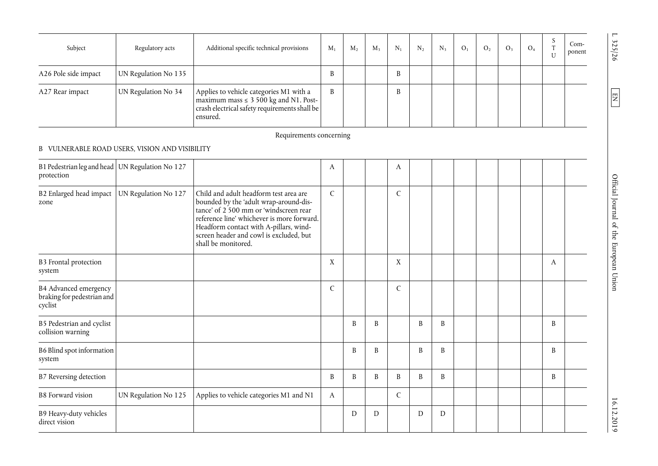| Subject              | Regulatory acts      | Additional specific technical provisions                                                                                                          | $M_{1}$ | $M_{2}$ | $M_{\rm{2}}$ | $N_{1}$ | $N_{2}$ | $N_{3}$ | O <sub>1</sub> | O <sub>2</sub> | O <sub>3</sub> | O <sub>4</sub> | Com-<br>ponent |
|----------------------|----------------------|---------------------------------------------------------------------------------------------------------------------------------------------------|---------|---------|--------------|---------|---------|---------|----------------|----------------|----------------|----------------|----------------|
| A26 Pole side impact | UN Regulation No 135 |                                                                                                                                                   |         |         |              | B       |         |         |                |                |                |                |                |
| A27 Rear impact      | UN Regulation No 34  | Applies to vehicle categories M1 with a<br>maximum mass $\leq 3500$ kg and N1. Post-<br>crash electrical safety requirements shall be<br>ensured. | B       |         |              | B       |         |         |                |                |                |                |                |

## B VULNERABLE ROAD USERS, VISION AND VISIBILITY

| B1 Pedestrian leg and head   UN Regulation No 127<br>protection |                      |                                                                                                                                                                                                                                                                                      | A            |   |   | A            |   |   |  |  |   |  |
|-----------------------------------------------------------------|----------------------|--------------------------------------------------------------------------------------------------------------------------------------------------------------------------------------------------------------------------------------------------------------------------------------|--------------|---|---|--------------|---|---|--|--|---|--|
| B2 Enlarged head impact<br>zone                                 | UN Regulation No 127 | Child and adult headform test area are<br>bounded by the 'adult wrap-around-dis-<br>tance' of 2 500 mm or 'windscreen rear<br>reference line' whichever is more forward.<br>Headform contact with A-pillars, wind-<br>screen header and cowl is excluded, but<br>shall be monitored. | C            |   |   | $\mathsf{C}$ |   |   |  |  |   |  |
| <b>B3</b> Frontal protection<br>system                          |                      |                                                                                                                                                                                                                                                                                      | X            |   |   | X            |   |   |  |  | A |  |
| B4 Advanced emergency<br>braking for pedestrian and<br>cyclist  |                      |                                                                                                                                                                                                                                                                                      | $\mathsf{C}$ |   |   | C            |   |   |  |  |   |  |
| B5 Pedestrian and cyclist<br>collision warning                  |                      |                                                                                                                                                                                                                                                                                      |              | B | B |              | B | B |  |  | B |  |
| B6 Blind spot information<br>system                             |                      |                                                                                                                                                                                                                                                                                      |              | B | B |              | B | B |  |  | B |  |
| B7 Reversing detection                                          |                      |                                                                                                                                                                                                                                                                                      | B            | B | B | B            | B | B |  |  | B |  |
| <b>B8</b> Forward vision                                        | UN Regulation No 125 | Applies to vehicle categories M1 and N1                                                                                                                                                                                                                                              | A            |   |   | C            |   |   |  |  |   |  |
| B9 Heavy-duty vehicles<br>direct vision                         |                      |                                                                                                                                                                                                                                                                                      |              | D | D |              | D | D |  |  |   |  |

L 325/26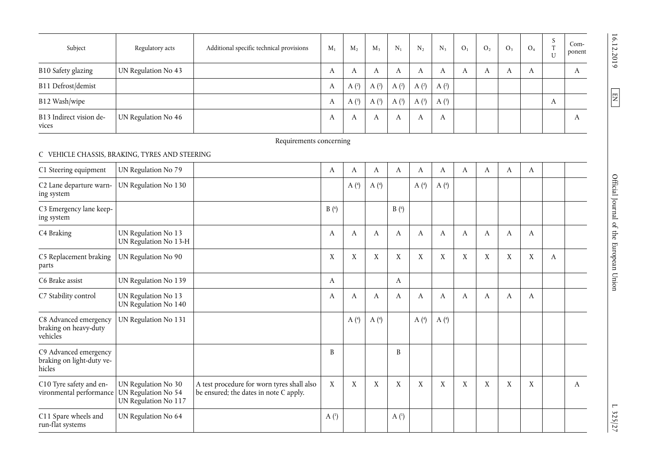| Subject                          | Regulatory acts     | Additional specific technical provisions | $M_1$     | $M_{2}$ | $M_{3}$ | $N_{1}$ | $N_{2}$ | $N_{3}$ | O <sub>1</sub> | O <sub>2</sub> | O <sub>3</sub> | O <sub>4</sub> | $\mathcal{L}$<br>$\sim$<br>U | $Com-$<br>ponent |
|----------------------------------|---------------------|------------------------------------------|-----------|---------|---------|---------|---------|---------|----------------|----------------|----------------|----------------|------------------------------|------------------|
| B10 Safety glazing               | UN Regulation No 43 |                                          | $\Lambda$ |         | A       |         | А       |         | A              | А              | A              | A              |                              | $\Lambda$        |
| B11 Defrost/demist               |                     |                                          | A         | A $(2)$ | A $(2)$ | A(2)    | A $(2)$ | A(2)    |                |                |                |                |                              |                  |
| B12 Wash/wipe                    |                     |                                          | А         | A $(3)$ | A $(3)$ | A $(3)$ | A $(3)$ | A(3)    |                |                |                |                | A                            |                  |
| B13 Indirect vision de-<br>vices | UN Regulation No 46 |                                          | A         |         | A       |         | A       | A       |                |                |                |                |                              | $\Lambda$        |

## C VEHICLE CHASSIS, BRAKING, TYRES AND STEERING

| C1 Steering equipment                                        | UN Regulation No 79                                                |                                                                                      | A                | A       | A       | A                     | A       | A              | A | A | A | A |   |   |
|--------------------------------------------------------------|--------------------------------------------------------------------|--------------------------------------------------------------------------------------|------------------|---------|---------|-----------------------|---------|----------------|---|---|---|---|---|---|
| C2 Lane departure warn-<br>ing system                        | UN Regulation No 130                                               |                                                                                      |                  | A $(4)$ | A $(4)$ |                       | A $(4)$ | A $(4)$        |   |   |   |   |   |   |
| C3 Emergency lane keep-<br>ing system                        |                                                                    |                                                                                      | B(6)             |         |         | $B($ <sup>6</sup> $)$ |         |                |   |   |   |   |   |   |
| C4 Braking                                                   | UN Regulation No 13<br>UN Regulation No 13-H                       |                                                                                      | A                | A       | A       | A                     | A       | A              | A | A | A | A |   |   |
| C5 Replacement braking<br>parts                              | UN Regulation No 90                                                |                                                                                      | X                | X       | X       | X                     | X       | X              | X | X | X | X | A |   |
| C6 Brake assist                                              | UN Regulation No 139                                               |                                                                                      | A                |         |         | A                     |         |                |   |   |   |   |   |   |
| C7 Stability control                                         | UN Regulation No 13<br>UN Regulation No 140                        |                                                                                      | A                | A       | A       | A                     | A       | A              | A | A | A | A |   |   |
| C8 Advanced emergency<br>braking on heavy-duty<br>vehicles   | UN Regulation No 131                                               |                                                                                      |                  | A $(4)$ | A $(4)$ |                       | A $(4)$ | A <sup>4</sup> |   |   |   |   |   |   |
| C9 Advanced emergency<br>braking on light-duty ve-<br>hicles |                                                                    |                                                                                      | B                |         |         | B                     |         |                |   |   |   |   |   |   |
| C10 Tyre safety and en-<br>vironmental performance           | UN Regulation No 30<br>UN Regulation No 54<br>UN Regulation No 117 | A test procedure for worn tyres shall also<br>be ensured; the dates in note C apply. | X                | X       | X       | X                     | X       | X              | X | X | X | X |   | A |
| C11 Spare wheels and<br>run-flat systems                     | UN Regulation No 64                                                |                                                                                      | A <sup>(1)</sup> |         |         | A <sup>(1)</sup>      |         |                |   |   |   |   |   |   |

16.12.2019

 $\boxed{EN}$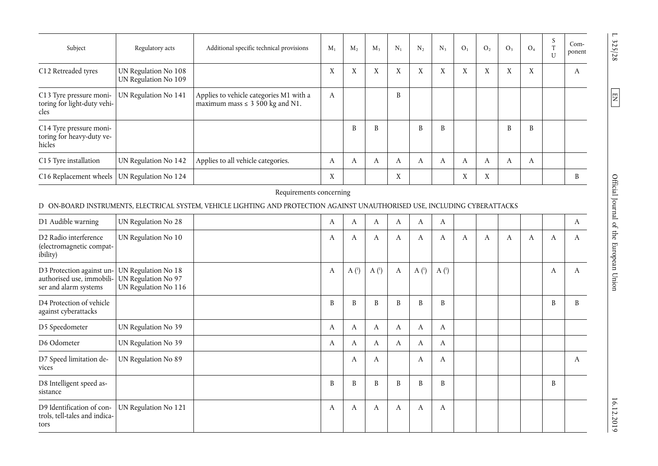| Subject                                                        | Regulatory acts                              | Additional specific technical provisions                                         | $M_1$  | $M_{2}$           | $M_{3}$ | $N_1$                     | $N_{2}$ | $N_{3}$ | O <sub>1</sub>    | O <sub>2</sub>            | O <sub>3</sub> | O <sub>4</sub> | - 2 | $Com-$<br>ponent |
|----------------------------------------------------------------|----------------------------------------------|----------------------------------------------------------------------------------|--------|-------------------|---------|---------------------------|---------|---------|-------------------|---------------------------|----------------|----------------|-----|------------------|
| C12 Retreaded tyres                                            | UN Regulation No 108<br>UN Regulation No 109 |                                                                                  | X      | $\mathbf{v}$<br>A | X       | X                         | X       | X       | X                 | X                         | X              | X              |     | A                |
| C13 Tyre pressure moni-<br>toring for light-duty vehi-<br>cles | UN Regulation No 141                         | Applies to vehicle categories M1 with a<br>maximum mass $\leq 3\,500$ kg and N1. | A      |                   |         | B                         |         |         |                   |                           |                |                |     |                  |
| C14 Tyre pressure moni-<br>toring for heavy-duty ve-<br>hicles |                                              |                                                                                  |        | B                 | B       |                           | B       | B       |                   |                           | B              | B              |     |                  |
| C15 Tyre installation                                          | UN Regulation No 142                         | Applies to all vehicle categories.                                               | A      | A                 | A       | A                         | A       | A       | А                 | А                         | A              | A              |     |                  |
| C16 Replacement wheels                                         | UN Regulation No 124                         |                                                                                  | v<br>Λ |                   |         | $\mathbf{v}$<br>$\Lambda$ |         |         | $\mathbf{v}$<br>Λ | $\mathbf{v}$<br>$\Lambda$ |                |                |     |                  |

## D ON-BOARD INSTRUMENTS, ELECTRICAL SYSTEM, VEHICLE LIGHTING AND PROTECTION AGAINST UNAUTHORISED USE, INCLUDING CYBERATTACKS

| D1 Audible warning                                                                                  | UN Regulation No 28                         | A | A                | A          | A | A                | A                |   |   |   |   |   | A |
|-----------------------------------------------------------------------------------------------------|---------------------------------------------|---|------------------|------------|---|------------------|------------------|---|---|---|---|---|---|
| D2 Radio interference<br>(electromagnetic compat-<br>ibility)                                       | UN Regulation No 10                         | A | A                | A          | A | A                | A                | A | A | A | A | A | A |
| D3 Protection against un-<br>authorised use, immobili- UN Regulation No 97<br>ser and alarm systems | UN Regulation No 18<br>UN Regulation No 116 | A | A <sup>(1)</sup> | A $(^{1})$ | A | A <sup>(1)</sup> | A <sup>(1)</sup> |   |   |   |   | A | A |
| D4 Protection of vehicle<br>against cyberattacks                                                    |                                             | B | B                | B          | B | B                | B                |   |   |   |   | B | B |
| D5 Speedometer                                                                                      | UN Regulation No 39                         | A | A                | A          | A | A                | A                |   |   |   |   |   |   |
| D6 Odometer                                                                                         | UN Regulation No 39                         | A | A                | A          | A | A                | A                |   |   |   |   |   |   |
| D7 Speed limitation de-<br>vices                                                                    | UN Regulation No 89                         |   | A                | A          |   | A                | A                |   |   |   |   |   | A |
| D8 Intelligent speed as-<br>sistance                                                                |                                             | B | B                | B          | B | B                | B                |   |   |   |   | B |   |
| D9 Identification of con-<br>trols, tell-tales and indica-<br>tors                                  | UN Regulation No 121                        | A | A                | A          | A | A                | A                |   |   |   |   |   |   |

L 325/28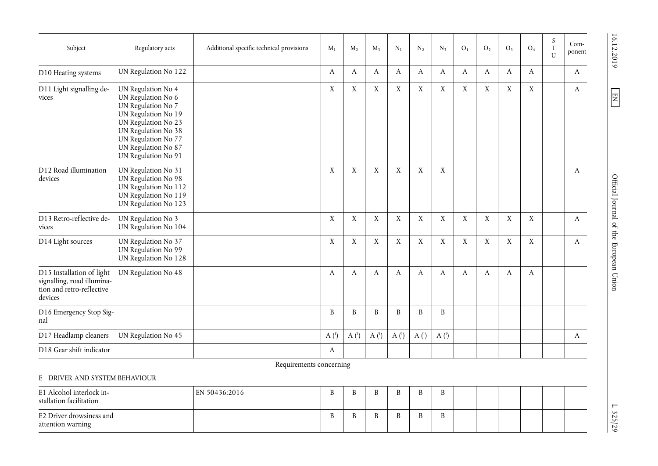| Subject                                                                                         | Regulatory acts                                                                                                                                                                                          | Additional specific technical provisions | $M_1$            | $M_2$            | $M_3$            | $N_1$            | $\rm N_2$        | $N_3$            | O <sub>1</sub> | O <sub>2</sub> | O <sub>3</sub> | O <sub>4</sub> | S<br>$\ensuremath{\mathrm{T}}$<br>$\mathbf{U}$ | Com-<br>ponent |
|-------------------------------------------------------------------------------------------------|----------------------------------------------------------------------------------------------------------------------------------------------------------------------------------------------------------|------------------------------------------|------------------|------------------|------------------|------------------|------------------|------------------|----------------|----------------|----------------|----------------|------------------------------------------------|----------------|
| D10 Heating systems                                                                             | UN Regulation No 122                                                                                                                                                                                     |                                          | A                | A                | A                | A                | A                | A                | A              | A              | A              | A              |                                                | $\mathbf{A}$   |
| D11 Light signalling de-<br>vices                                                               | UN Regulation No 4<br>UN Regulation No 6<br>UN Regulation No 7<br>UN Regulation No 19<br>UN Regulation No 23<br>UN Regulation No 38<br>UN Regulation No 77<br>UN Regulation No 87<br>UN Regulation No 91 |                                          | X                | $\mathbf X$      | X                | $\mathbf X$      | X                | $\mathbf X$      | $\mathbf X$    | $\mathbf X$    | $\mathbf X$    | X              |                                                | A              |
| D12 Road illumination<br>devices                                                                | UN Regulation No 31<br>UN Regulation No 98<br>UN Regulation No 112<br>UN Regulation No 119<br>UN Regulation No 123                                                                                       |                                          | X                | X                | $\mathbf X$      | $\mathbf X$      | X                | $\mathbf X$      |                |                |                |                |                                                | A              |
| D13 Retro-reflective de-<br>vices                                                               | UN Regulation No 3<br>UN Regulation No 104                                                                                                                                                               |                                          | X                | X                | X                | X                | X                | $\mathbf X$      | X              | $\mathbf X$    | X              | X              |                                                | A              |
| D14 Light sources                                                                               | UN Regulation No 37<br>UN Regulation No 99<br>UN Regulation No 128                                                                                                                                       |                                          | X                | $\mathbf X$      | X                | $\mathbf X$      | X                | $\mathbf X$      | X              | X              | X              | X              |                                                | A              |
| D15 Installation of light<br>signalling, road illumina-<br>tion and retro-reflective<br>devices | UN Regulation No 48                                                                                                                                                                                      |                                          | A                | A                | A                | A                | A                | A                | A              | A              | A              | A              |                                                |                |
| D16 Emergency Stop Sig-<br>nal                                                                  |                                                                                                                                                                                                          |                                          | B                | B                | B                | B                | B                | $\, {\bf B}$     |                |                |                |                |                                                |                |
| D17 Headlamp cleaners                                                                           | UN Regulation No 45                                                                                                                                                                                      |                                          | A <sup>(1)</sup> | A <sup>(1)</sup> | A <sup>(1)</sup> | A <sup>(1)</sup> | A <sup>(1)</sup> | A <sup>(1)</sup> |                |                |                |                |                                                | A              |
| D18 Gear shift indicator                                                                        |                                                                                                                                                                                                          |                                          | A                |                  |                  |                  |                  |                  |                |                |                |                |                                                |                |

## E DRIVER AND SYSTEM BEHAVIOUR

| E1 Alcohol interlock in-<br>stallation facilitation | EN 50436:2016 |  |  |  |  |  |  |
|-----------------------------------------------------|---------------|--|--|--|--|--|--|
| E2 Driver drowsiness and<br>attention warning       |               |  |  |  |  |  |  |

16.12.2019

 $\boxed{EN}$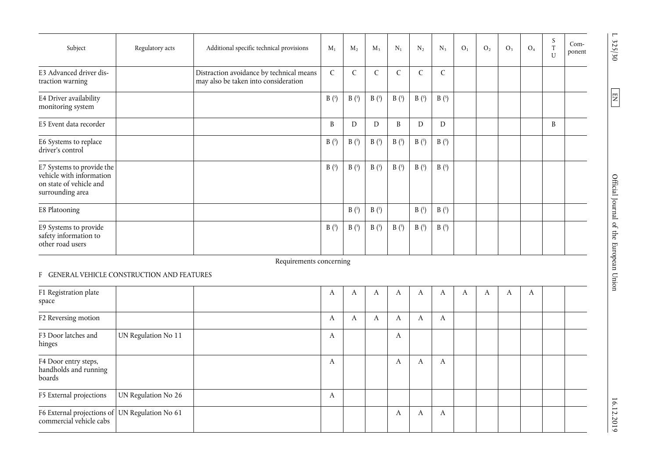| Subject                                                                                              | Regulatory acts | Additional specific technical provisions                                         | $M_1$        | $M_2$        | $M_{3}$          | $N_1$         | $N_2$            | $N_{3}$       | O <sub>1</sub> | O <sub>2</sub> | O <sub>3</sub> | O <sub>4</sub> | S<br>$\mathbf{T}$<br>$\overline{U}$ | Com-<br>ponent |
|------------------------------------------------------------------------------------------------------|-----------------|----------------------------------------------------------------------------------|--------------|--------------|------------------|---------------|------------------|---------------|----------------|----------------|----------------|----------------|-------------------------------------|----------------|
| E3 Advanced driver dis-<br>traction warning                                                          |                 | Distraction avoidance by technical means<br>may also be taken into consideration | $\mathsf{C}$ | $\mathsf{C}$ |                  | $\mathcal{C}$ | C                | $\mathcal{C}$ |                |                |                |                |                                     |                |
| E4 Driver availability<br>monitoring system                                                          |                 |                                                                                  | B(5)         | B(5)         | B(5)             | B(5)          | B(5)             | B(5)          |                |                |                |                |                                     |                |
| E5 Event data recorder                                                                               |                 |                                                                                  | B            | D            | D                | B             | D                | D             |                |                |                |                | B                                   |                |
| E6 Systems to replace<br>driver's control                                                            |                 |                                                                                  | B(5)         | B(5)         | B(5)             | B(5)          | B(5)             | B(5)          |                |                |                |                |                                     |                |
| E7 Systems to provide the<br>vehicle with information<br>on state of vehicle and<br>surrounding area |                 |                                                                                  | B(5)         | B(5)         | B(5)             | B(5)          | B(5)             | B(5)          |                |                |                |                |                                     |                |
| E8 Platooning                                                                                        |                 |                                                                                  |              | B(1)         | B <sup>(1)</sup> |               | B <sup>(1)</sup> | B(1)          |                |                |                |                |                                     |                |
| E9 Systems to provide<br>safety information to<br>other road users                                   |                 |                                                                                  | B(5)         | B(5)         | B(5)             | B(5)          | B(5)             | B(5)          |                |                |                |                |                                     |                |

## F GENERAL VEHICLE CONSTRUCTION AND FEATURES

| F1 Registration plate<br>space                                            |                     | A | A | A | А | A | А | A | A | A | A |  |
|---------------------------------------------------------------------------|---------------------|---|---|---|---|---|---|---|---|---|---|--|
| F2 Reversing motion                                                       |                     | A | А | A |   | A | A |   |   |   |   |  |
| F3 Door latches and<br>hinges                                             | UN Regulation No 11 | A |   |   | A |   |   |   |   |   |   |  |
| F4 Door entry steps,<br>handholds and running<br>boards                   |                     | A |   |   | A | A | A |   |   |   |   |  |
| F5 External projections                                                   | UN Regulation No 26 | A |   |   |   |   |   |   |   |   |   |  |
| F6 External projections of UN Regulation No 61<br>commercial vehicle cabs |                     |   |   |   | A | А | А |   |   |   |   |  |

L 325/30

 $\boxed{\text{EN}}$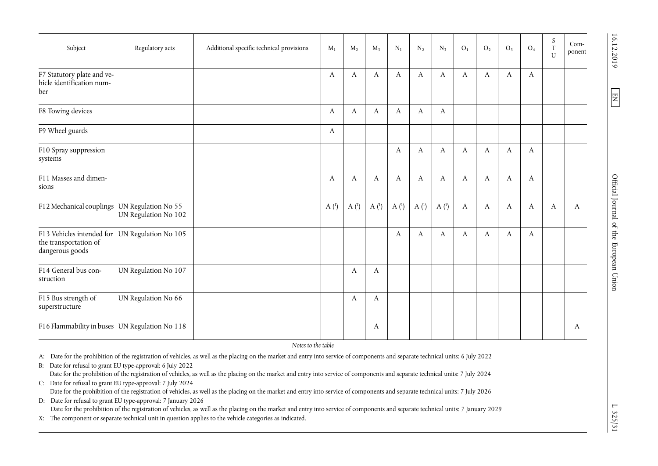| Subject                                                               | Regulatory acts                             | Additional specific technical provisions | $M_1$            | $M_2$            | $M_3$            | $N_1$            | $\rm N_2$        | $N_3$            | O <sub>1</sub> | O <sub>2</sub>   | $O_3$            | O <sub>4</sub>   | $\boldsymbol{S}$<br>$\rm T$<br>$\mathbf U$ | Com-<br>ponent |
|-----------------------------------------------------------------------|---------------------------------------------|------------------------------------------|------------------|------------------|------------------|------------------|------------------|------------------|----------------|------------------|------------------|------------------|--------------------------------------------|----------------|
| F7 Statutory plate and ve-<br>hicle identification num-<br>ber        |                                             |                                          | A                | $\boldsymbol{A}$ | A                | $\boldsymbol{A}$ | A                | A                | A              | $\boldsymbol{A}$ | $\boldsymbol{A}$ | A                |                                            |                |
| F8 Towing devices                                                     |                                             |                                          | A                | A                | A                | A                | A                | A                |                |                  |                  |                  |                                            |                |
| F9 Wheel guards                                                       |                                             |                                          | A                |                  |                  |                  |                  |                  |                |                  |                  |                  |                                            |                |
| F10 Spray suppression<br>systems                                      |                                             |                                          |                  |                  |                  | A                | A                | A                | A              | A                | A                | A                |                                            |                |
| F11 Masses and dimen-<br>sions                                        |                                             |                                          | A                | A                | A                | A                | A                | A                | A              | $\boldsymbol{A}$ | A                | A                |                                            |                |
| F12 Mechanical couplings                                              | UN Regulation No 55<br>UN Regulation No 102 |                                          | A <sup>(1)</sup> | A <sup>(1)</sup> | A <sup>(1)</sup> | A <sup>(1)</sup> | A <sup>(1)</sup> | A <sup>(1)</sup> | A              | $\boldsymbol{A}$ | A                | A                | A                                          | A              |
| F13 Vehicles intended for<br>the transportation of<br>dangerous goods | UN Regulation No 105                        |                                          |                  |                  |                  | $\mathbf{A}$     | A                | A                | A              | $\boldsymbol{A}$ | A                | $\boldsymbol{A}$ |                                            |                |
| F14 General bus con-<br>struction                                     | UN Regulation No 107                        |                                          |                  | A                | A                |                  |                  |                  |                |                  |                  |                  |                                            |                |
| F15 Bus strength of<br>superstructure                                 | UN Regulation No 66                         |                                          |                  | A                | A                |                  |                  |                  |                |                  |                  |                  |                                            |                |
| F16 Flammability in buses                                             | UN Regulation No 118                        |                                          |                  |                  | A                |                  |                  |                  |                |                  |                  |                  |                                            | A              |

*Notes to the table* 

A: Date for the prohibition of the registration of vehicles, as well as the placing on the market and entry into service of components and separate technical units: 6 July 2022

B: Date for refusal to grant EU type-approval: 6 July 2022 Date for the prohibition of the registration of vehicles, as well as the placing on the market and entry into service of components and separate technical units: 7 July 2024 C: Date for refusal to grant EU type-approval: 7 July 2024 Date for the prohibition of the registration of vehicles, as well as the placing on the market and entry into service of components and separate technical units: 7 July 2026

D: Date for refusal to grant EU type-approval: 7 January 2026 Date for the prohibition of the registration of vehicles, as well as the placing on the market and entry into service of components and separate technical units: 7 January 2029

X: The component or separate technical unit in question applies to the vehicle categories as indicated.

 $\boxed{\Xi}$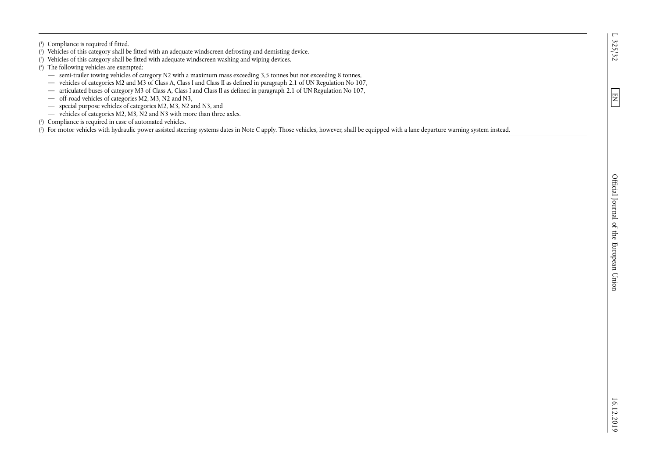$\boxed{\text{E}}$ 

( 1) Compliance is required if fitted.

- ( 2) Vehicles of this category shall be fitted with an adequate windscreen defrosting and demisting device.
- ( 3) Vehicles of this category shall be fitted with adequate windscreen washing and wiping devices.
- ( 4) The following vehicles are exempted:
	- semi-trailer towing vehicles of category N2 with a maximum mass exceeding 3,5 tonnes but not exceeding 8 tonnes,
	- vehicles of categories M2 and M3 of Class A, Class I and Class II as defined in paragraph 2.1 of UN Regulation No 107,
	- articulated buses of category M3 of Class A, Class I and Class II as defined in paragraph 2.1 of UN Regulation No 107,
	- off-road vehicles of categories M2, M3, N2 and N3,
	- special purpose vehicles of categories M2, M3, N2 and N3, and
	- vehicles of categories M2, M3, N2 and N3 with more than three axles.
- ( 5) Compliance is required in case of automated vehicles.

( 6) For motor vehicles with hydraulic power assisted steering systems dates in Note C apply. Those vehicles, however, shall be equipped with a lane departure warning system instead.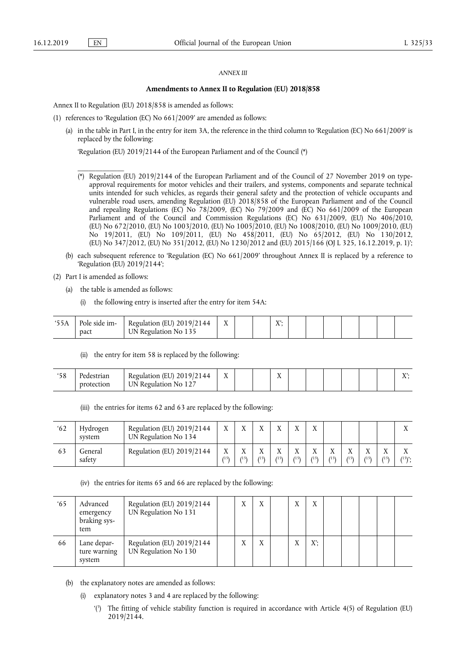#### *ANNEX III*

#### **Amendments to Annex II to Regulation (EU) 2018/858**

Annex II to Regulation (EU) 2018/858 is amended as follows:

- (1) references to 'Regulation (EC) No 661/2009' are amended as follows:
	- (a) in the table in Part I, in the entry for item 3A, the reference in the third column to 'Regulation (EC) No 661/2009' is replaced by the following:

'Regulation (EU) 2019/2144 of the European Parliament and of the Council (\*)

- (\*) Regulation (EU) 2019/2144 of the European Parliament and of the Council of 27 November 2019 on typeapproval requirements for motor vehicles and their trailers, and systems, components and separate technical units intended for such vehicles, as regards their general safety and the protection of vehicle occupants and vulnerable road users, amending Regulation (EU) 2018/858 of the European Parliament and of the Council and repealing Regulations (EC) No  $78/2009$ , (EC) No  $79/2009$  and (EC) No 661/2009 of the European Parliament and of the Council and Commission Regulations (EC) No 631/2009, (EU) No 406/2010, (EU) No 672/2010, (EU) No 1003/2010, (EU) No 1005/2010, (EU) No 1008/2010, (EU) No 1009/2010, (EU) No 19/2011, (EU) No 109/2011, (EU) No 458/2011, (EU) No 65/2012, (EU) No 130/2012, (EU) No 347/2012, (EU) No 351/2012, (EU) No 1230/2012 and (EU) 2015/166 (OJ L 325, 16.12.2019, p. 1)';
- (b) each subsequent reference to 'Regulation (EC) No 661/2009' throughout Annex II is replaced by a reference to 'Regulation (EU) 2019/2144';
- (2) Part I is amended as follows:

\_\_\_\_\_\_\_\_\_\_\_\_\_

- (a) the table is amended as follows:
	- (i) the following entry is inserted after the entry for item 54A:

| 55A | Pole side im- | Regulation (EU) $2019/2144$ |  | $\mathbf{V}$ |  |  |  |  |
|-----|---------------|-----------------------------|--|--------------|--|--|--|--|
|     | pact          | UN Regulation No 135        |  |              |  |  |  |  |

(ii) the entry for item 58 is replaced by the following:

| 50<br>ەد | Pedestrian | Regulation (EU) 2019/2144 | <b>TT</b><br>$\Lambda$ |  | $-1$<br>∡⊾ |  |  |  | V.<br>$\overline{ }$ |
|----------|------------|---------------------------|------------------------|--|------------|--|--|--|----------------------|
|          | protection | UN Regulation No 127      |                        |  |            |  |  |  |                      |

(iii) the entries for items 62 and 63 are replaced by the following:

| 62 | Hydrogen<br>system | Regulation (EU) 2019/2144<br>UN Regulation No 134 | $\mathbf{v}$<br>л         | ٦T                 | $\mathbf{r}$      | <b>TT</b>         | $\mathbf{v}$        | $\mathbf{v}$<br>Λ                 |                           |                   |                   |                   | <b>TT</b><br>△ |
|----|--------------------|---------------------------------------------------|---------------------------|--------------------|-------------------|-------------------|---------------------|-----------------------------------|---------------------------|-------------------|-------------------|-------------------|----------------|
| 63 | General<br>safety  | Regulation (EU) 2019/2144                         | $\mathbf{v}$<br>л<br>(15) | ٦T<br>$115\lambda$ | <b>TT</b><br>(15) | <b>TT</b><br>(15) | $\mathbf{v}$<br>/15 | $\mathbf{v}$<br>$\Lambda$<br>(15) | $\mathbf{v}$<br>л<br>(15) | <b>TT</b><br>(15) | <b>TT</b><br>(15) | <b>TT</b><br>(15) | $(15)$ .       |

(iv) the entries for items 65 and 66 are replaced by the following:

| $65^{\circ}$ | Advanced<br>emergency<br>braking sys-<br>tem | Regulation (EU) 2019/2144<br>UN Regulation No 131 | $\mathbf v$  | X | $\mathbf{v}$ | X            |  |  |  |
|--------------|----------------------------------------------|---------------------------------------------------|--------------|---|--------------|--------------|--|--|--|
| 66           | Lane depar-<br>ture warning<br>system        | Regulation (EU) 2019/2144<br>UN Regulation No 130 | $\mathbf{v}$ | X | $\mathbf{v}$ | $X^{\prime}$ |  |  |  |

- (b) the explanatory notes are amended as follows:
	- (i) explanatory notes 3 and 4 are replaced by the following:
		- '(3 ) The fitting of vehicle stability function is required in accordance with Article 4(5) of Regulation (EU) 2019/2144.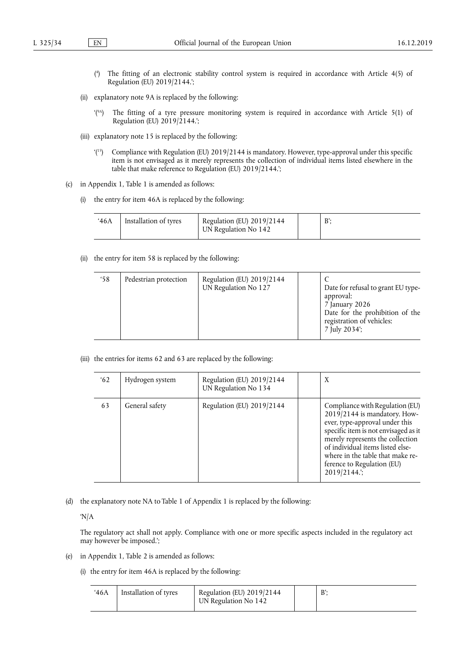- ( 4 ) The fitting of an electronic stability control system is required in accordance with Article 4(5) of Regulation (EU) 2019/2144.';
- (ii) explanatory note 9A is replaced by the following:
	- '(9A) The fitting of a tyre pressure monitoring system is required in accordance with Article 5(1) of Regulation (EU)  $2019/2144$ .
- (iii) explanatory note 15 is replaced by the following:
	- '(15) Compliance with Regulation (EU) 2019/2144 is mandatory. However, type-approval under this specific item is not envisaged as it merely represents the collection of individual items listed elsewhere in the table that make reference to Regulation (EU) 2019/2144.';
- (c) in Appendix 1, Table 1 is amended as follows:
	- (i) the entry for item 46A is replaced by the following:

| 46A | Installation of tyres | Regulation (EU) 2019/2144<br>UN Regulation No 142 | D' |
|-----|-----------------------|---------------------------------------------------|----|
|     |                       |                                                   |    |

(ii) the entry for item 58 is replaced by the following:

| '58 | Pedestrian protection | Regulation (EU) 2019/2144<br>UN Regulation No 127 |  | Date for refusal to grant EU type-<br>approval:<br>7 January 2026<br>Date for the prohibition of the<br>registration of vehicles:<br>7 July 2034; |
|-----|-----------------------|---------------------------------------------------|--|---------------------------------------------------------------------------------------------------------------------------------------------------|
|-----|-----------------------|---------------------------------------------------|--|---------------------------------------------------------------------------------------------------------------------------------------------------|

(iii) the entries for items 62 and 63 are replaced by the following:

| 62 | Hydrogen system | Regulation (EU) 2019/2144<br>UN Regulation No 134 | X                                                                                                                                                                                                                                                                                                   |
|----|-----------------|---------------------------------------------------|-----------------------------------------------------------------------------------------------------------------------------------------------------------------------------------------------------------------------------------------------------------------------------------------------------|
| 63 | General safety  | Regulation (EU) 2019/2144                         | Compliance with Regulation (EU)<br>$2019/2144$ is mandatory. How-<br>ever, type-approval under this<br>specific item is not envisaged as it<br>merely represents the collection<br>of individual items listed else-<br>where in the table that make re-<br>ference to Regulation (EU)<br>2019/2144. |

(d) the explanatory note NA to Table 1 of Appendix 1 is replaced by the following:

'N/A

The regulatory act shall not apply. Compliance with one or more specific aspects included in the regulatory act may however be imposed.';

- (e) in Appendix 1, Table 2 is amended as follows:
	- (i) the entry for item 46A is replaced by the following:

| 46A | Installation of tyres | Regulation (EU) 2019/2144<br>UN Regulation No 142 |  |  |
|-----|-----------------------|---------------------------------------------------|--|--|
|-----|-----------------------|---------------------------------------------------|--|--|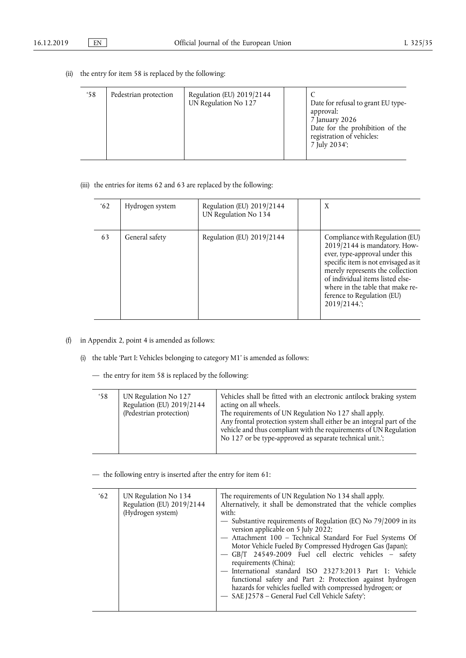(ii) the entry for item 58 is replaced by the following:

| $^{\circ}58$ | Pedestrian protection | Regulation (EU) 2019/2144<br>UN Regulation No 127 |  | Date for refusal to grant EU type-<br>approval:<br>7 January 2026<br>Date for the prohibition of the<br>registration of vehicles:<br>7 July 2034'; |
|--------------|-----------------------|---------------------------------------------------|--|----------------------------------------------------------------------------------------------------------------------------------------------------|
|--------------|-----------------------|---------------------------------------------------|--|----------------------------------------------------------------------------------------------------------------------------------------------------|

## (iii) the entries for items 62 and 63 are replaced by the following:

| 62 | Hydrogen system | Regulation (EU) 2019/2144<br>UN Regulation No 134 | X                                                                                                                                                                                                                                                                                                   |
|----|-----------------|---------------------------------------------------|-----------------------------------------------------------------------------------------------------------------------------------------------------------------------------------------------------------------------------------------------------------------------------------------------------|
| 63 | General safety  | Regulation (EU) 2019/2144                         | Compliance with Regulation (EU)<br>$2019/2144$ is mandatory. How-<br>ever, type-approval under this<br>specific item is not envisaged as it<br>merely represents the collection<br>of individual items listed else-<br>where in the table that make re-<br>ference to Regulation (EU)<br>2019/2144. |

## (f) in Appendix 2, point 4 is amended as follows:

- (i) the table 'Part I: Vehicles belonging to category M1' is amended as follows:
	- the entry for item 58 is replaced by the following:

| 58 | UN Regulation No 127<br>Regulation (EU) 2019/2144<br>(Pedestrian protection) | Vehicles shall be fitted with an electronic antilock braking system<br>acting on all wheels.<br>The requirements of UN Regulation No 127 shall apply.<br>Any frontal protection system shall either be an integral part of the<br>vehicle and thus compliant with the requirements of UN Regulation<br>No 127 or be type-approved as separate technical unit.'; |
|----|------------------------------------------------------------------------------|-----------------------------------------------------------------------------------------------------------------------------------------------------------------------------------------------------------------------------------------------------------------------------------------------------------------------------------------------------------------|
|----|------------------------------------------------------------------------------|-----------------------------------------------------------------------------------------------------------------------------------------------------------------------------------------------------------------------------------------------------------------------------------------------------------------------------------------------------------------|

— the following entry is inserted after the entry for item 61:

| 62 | UN Regulation No 134<br>Regulation (EU) 2019/2144<br>(Hydrogen system) | The requirements of UN Regulation No 134 shall apply.<br>Alternatively, it shall be demonstrated that the vehicle complies<br>with:<br>- Substantive requirements of Regulation (EC) No 79/2009 in its<br>version applicable on 5 July 2022;<br>- Attachment 100 - Technical Standard For Fuel Systems Of<br>Motor Vehicle Fueled By Compressed Hydrogen Gas (Japan);<br>- GB/T 24549-2009 Fuel cell electric vehicles - safety<br>requirements (China);<br>- International standard ISO 23273:2013 Part 1: Vehicle<br>functional safety and Part 2: Protection against hydrogen<br>hazards for vehicles fuelled with compressed hydrogen; or<br>- SAE J2578 - General Fuel Cell Vehicle Safety'; |
|----|------------------------------------------------------------------------|---------------------------------------------------------------------------------------------------------------------------------------------------------------------------------------------------------------------------------------------------------------------------------------------------------------------------------------------------------------------------------------------------------------------------------------------------------------------------------------------------------------------------------------------------------------------------------------------------------------------------------------------------------------------------------------------------|
|----|------------------------------------------------------------------------|---------------------------------------------------------------------------------------------------------------------------------------------------------------------------------------------------------------------------------------------------------------------------------------------------------------------------------------------------------------------------------------------------------------------------------------------------------------------------------------------------------------------------------------------------------------------------------------------------------------------------------------------------------------------------------------------------|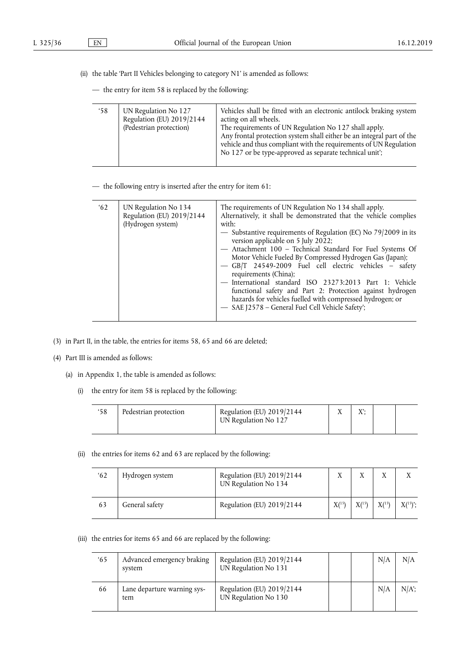- (ii) the table 'Part II Vehicles belonging to category N1' is amended as follows:
	- the entry for item 58 is replaced by the following:

| 58 | UN Regulation No 127<br>Regulation (EU) 2019/2144<br>(Pedestrian protection) | Vehicles shall be fitted with an electronic antilock braking system<br>acting on all wheels.<br>The requirements of UN Regulation No 127 shall apply.<br>Any frontal protection system shall either be an integral part of the<br>vehicle and thus compliant with the requirements of UN Regulation<br>No 127 or be type-approved as separate technical unit'; |
|----|------------------------------------------------------------------------------|----------------------------------------------------------------------------------------------------------------------------------------------------------------------------------------------------------------------------------------------------------------------------------------------------------------------------------------------------------------|
|    |                                                                              |                                                                                                                                                                                                                                                                                                                                                                |

— the following entry is inserted after the entry for item 61:

- (3) in Part II, in the table, the entries for items 58, 65 and 66 are deleted;
- (4) Part III is amended as follows:
	- (a) in Appendix 1, the table is amended as follows:
		- (i) the entry for item 58 is replaced by the following:

| '58 | Pedestrian protection | Regulation (EU) 2019/2144<br>UN Regulation No 127 | V |  |
|-----|-----------------------|---------------------------------------------------|---|--|
|     |                       |                                                   |   |  |

(ii) the entries for items 62 and 63 are replaced by the following:

| 62 | Hydrogen system | Regulation (EU) 2019/2144<br>UN Regulation No 134 |            |            |            | $\mathbf v$  |
|----|-----------------|---------------------------------------------------|------------|------------|------------|--------------|
| 63 | General safety  | Regulation (EU) 2019/2144                         | $X^{(15)}$ | $X^{(15)}$ | $X^{(15)}$ | $X^{(15)}$ ; |

(iii) the entries for items 65 and 66 are replaced by the following:

| 65 | Advanced emergency braking<br>system | Regulation (EU) 2019/2144<br>UN Regulation No 131 |  | N/A | N/A     |
|----|--------------------------------------|---------------------------------------------------|--|-----|---------|
| 66 | Lane departure warning sys-<br>tem   | Regulation (EU) 2019/2144<br>UN Regulation No 130 |  | N/A | $N/A$ : |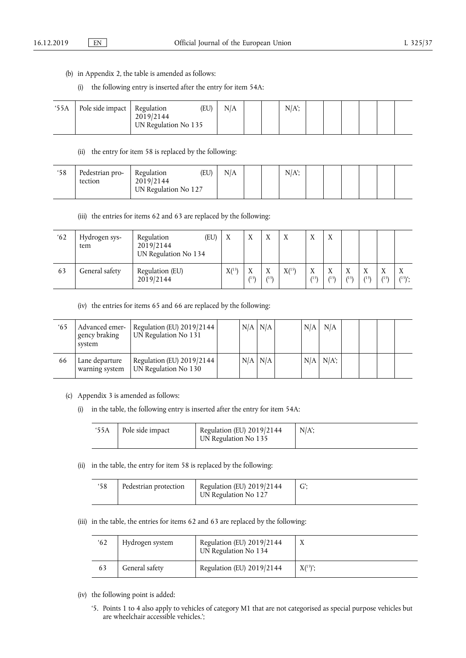- (b) in Appendix 2, the table is amended as follows:
	- (i) the following entry is inserted after the entry for item 54A:

| 55A | Pole side impact   Regulation | 2019/2144<br>UN Regulation No 135 | (EU) | N/A |  |  | $N/A$ ; |  |  |  |  |  |  |
|-----|-------------------------------|-----------------------------------|------|-----|--|--|---------|--|--|--|--|--|--|
|-----|-------------------------------|-----------------------------------|------|-----|--|--|---------|--|--|--|--|--|--|

(ii) the entry for item 58 is replaced by the following:

| 58 | Pedestrian pro-<br>tection | (EU)<br>Regulation<br>2019/2144<br>UN Regulation No 127 | N/A |  | $N/A$ ; |  |  |  |
|----|----------------------------|---------------------------------------------------------|-----|--|---------|--|--|--|
|    |                            |                                                         |     |  |         |  |  |  |

(iii) the entries for items 62 and 63 are replaced by the following:

| 62 | Hydrogen sys-<br>tem | (EU)<br>Regulation<br>2019/2144<br>UN Regulation No 134 | $\boldsymbol{X}$ | $\mathbf{v}$<br>Λ    | $\mathbf{v}$<br>Λ | X          | $\mathbf{v}$<br>$\Lambda$ | $\mathbf{v}$<br>Λ    |                      |                                   |                                   |                          |
|----|----------------------|---------------------------------------------------------|------------------|----------------------|-------------------|------------|---------------------------|----------------------|----------------------|-----------------------------------|-----------------------------------|--------------------------|
| 63 | General safety       | Regulation (EU)<br>2019/2144                            | X(15)            | $\mathbf{v}$<br>(15) | X<br>(15)         | $X^{(15)}$ | X<br>(15)                 | $\mathbf{v}$<br>(15) | $\mathbf{v}$<br>(15) | $\mathbf{v}$<br>$\Lambda$<br>(15) | $\mathbf{v}$<br>$\Lambda$<br>(15) | $\mathbf{v}$<br>$(15)$ . |

(iv) the entries for items 65 and 66 are replaced by the following:

| $^{\circ}65$ | Advanced emer-<br>gency braking<br>system | Regulation (EU) 2019/2144<br>UN Regulation No 131 |             | $N/A$ $N/A$ | N/A | N/A           |  |  |
|--------------|-------------------------------------------|---------------------------------------------------|-------------|-------------|-----|---------------|--|--|
| 66           | Lane departure<br>warning system          | Regulation (EU) 2019/2144<br>UN Regulation No 130 | $N/A$ $N/A$ |             |     | $N/A$ $N/A$ ; |  |  |

- (c) Appendix 3 is amended as follows:
	- (i) in the table, the following entry is inserted after the entry for item 54A:

| '55A | l Pole side impact | Regulation (EU) $2019/2144$<br>UN Regulation No 135 | $N/A$ ; |
|------|--------------------|-----------------------------------------------------|---------|
|------|--------------------|-----------------------------------------------------|---------|

(ii) in the table, the entry for item 58 is replaced by the following:

| Pedestrian protection | Regulation (EU) 2019/2144<br>UN Regulation No 127 |  |
|-----------------------|---------------------------------------------------|--|
|                       |                                                   |  |

(iii) in the table, the entries for items 62 and 63 are replaced by the following:

| 62 | Hydrogen system | Regulation (EU) 2019/2144<br>UN Regulation No 134 |              |
|----|-----------------|---------------------------------------------------|--------------|
| 63 | General safety  | Regulation (EU) 2019/2144                         | $X^{(15)}$ ; |

- (iv) the following point is added:
	- '5. Points 1 to 4 also apply to vehicles of category M1 that are not categorised as special purpose vehicles but are wheelchair accessible vehicles.';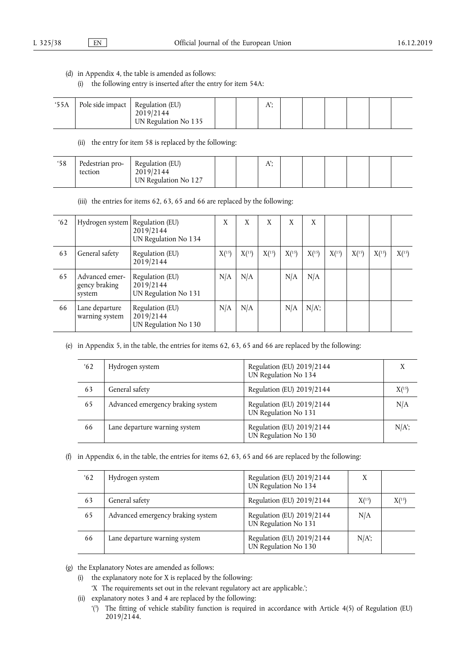### (d) in Appendix 4, the table is amended as follows:

(i) the following entry is inserted after the entry for item 54A:

| 55A | Pole side impact   Regulation (EU) | 2019/2144<br>UN Regulation No 135 |  | 11, |  |  |  |
|-----|------------------------------------|-----------------------------------|--|-----|--|--|--|
|     |                                    |                                   |  |     |  |  |  |

(ii) the entry for item 58 is replaced by the following:

| 58 | Pedestrian pro-<br>tection | Regulation (EU)<br>2019/2144<br>UN Regulation No 127 |  | $\mathbf{A}$ |  |  |  |
|----|----------------------------|------------------------------------------------------|--|--------------|--|--|--|
|    |                            |                                                      |  |              |  |  |  |

(iii) the entries for items 62, 63, 65 and 66 are replaced by the following:

| 62 | Hydrogen system                           | Regulation (EU)<br>2019/2144<br>UN Regulation No 134 | X     | X          | X     | X          | X       |       |            |       |            |
|----|-------------------------------------------|------------------------------------------------------|-------|------------|-------|------------|---------|-------|------------|-------|------------|
| 63 | General safety                            | Regulation (EU)<br>2019/2144                         | X(15) | $X^{(15)}$ | X(15) | $X^{(15)}$ | X(15)   | X(15) | $X^{(15)}$ | X(15) | $X^{(15)}$ |
| 65 | Advanced emer-<br>gency braking<br>system | Regulation (EU)<br>2019/2144<br>UN Regulation No 131 | N/A   | N/A        |       | N/A        | N/A     |       |            |       |            |
| 66 | Lane departure<br>warning system          | Regulation (EU)<br>2019/2144<br>UN Regulation No 130 | N/A   | N/A        |       | N/A        | $N/A$ ; |       |            |       |            |

(e) in Appendix 5, in the table, the entries for items 62, 63, 65 and 66 are replaced by the following:

| 62 | Hydrogen system                   | Regulation (EU) 2019/2144<br>UN Regulation No 134   | X       |
|----|-----------------------------------|-----------------------------------------------------|---------|
| 63 | General safety                    | Regulation (EU) 2019/2144                           | X(15)   |
| 65 | Advanced emergency braking system | Regulation (EU) 2019/2144<br>UN Regulation No 131   | N/A     |
| 66 | Lane departure warning system     | Regulation (EU) 2019/2144<br>UN Regulation No $130$ | $N/A$ ; |

(f) in Appendix 6, in the table, the entries for items 62, 63, 65 and 66 are replaced by the following:

| 62 | Hydrogen system                   | Regulation (EU) 2019/2144<br>UN Regulation No 134 | X          |            |
|----|-----------------------------------|---------------------------------------------------|------------|------------|
| 63 | General safety                    | Regulation (EU) 2019/2144                         | $X^{(15)}$ | $X^{(15)}$ |
| 65 | Advanced emergency braking system | Regulation (EU) 2019/2144<br>UN Regulation No 131 | N/A        |            |
| 66 | Lane departure warning system     | Regulation (EU) 2019/2144<br>UN Regulation No 130 | $N/A$ ;    |            |

(g) the Explanatory Notes are amended as follows:

- (i) the explanatory note for X is replaced by the following:
	- 'X The requirements set out in the relevant regulatory act are applicable.';
- (ii) explanatory notes 3 and 4 are replaced by the following:
	- '(3 ) The fitting of vehicle stability function is required in accordance with Article 4(5) of Regulation (EU) 2019/2144.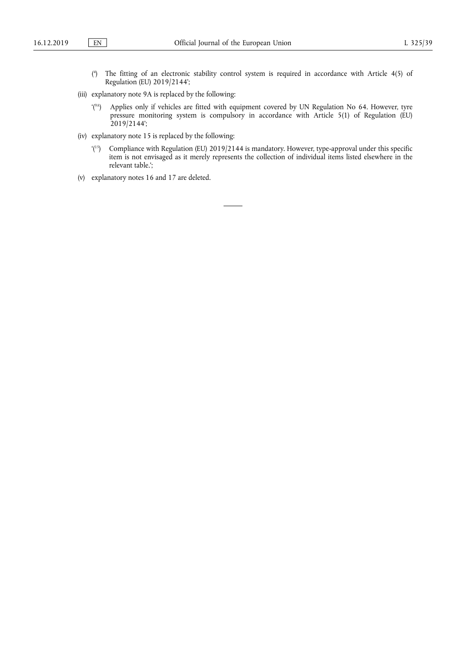- ( 4 ) The fitting of an electronic stability control system is required in accordance with Article 4(5) of Regulation (EU) 2019/2144';
- (iii) explanatory note 9A is replaced by the following:
	- '(9A) Applies only if vehicles are fitted with equipment covered by UN Regulation No 64. However, tyre pressure monitoring system is compulsory in accordance with Article 5(1) of Regulation (EU) 2019/2144';
- (iv) explanatory note 15 is replaced by the following:
	- '(15) Compliance with Regulation (EU) 2019/2144 is mandatory. However, type-approval under this specific item is not envisaged as it merely represents the collection of individual items listed elsewhere in the relevant table.';
- (v) explanatory notes 16 and 17 are deleted.